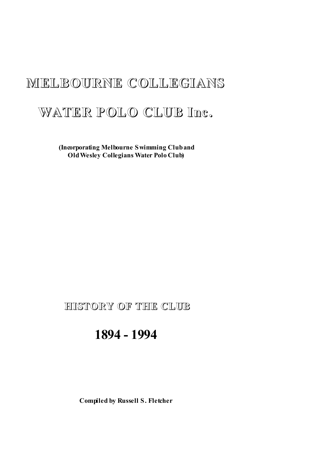# **MELBOURNE COLLEGIANS**

# **WATER POLO CLUB Inc.**

**(Incorporating Melbourne Swimming Cluband OldWesley Collegians Water Polo Club)**

# **HISTORY OF THE CLUB**

# **1894 - 1994**

**Compiled by Russell S. Fletcher**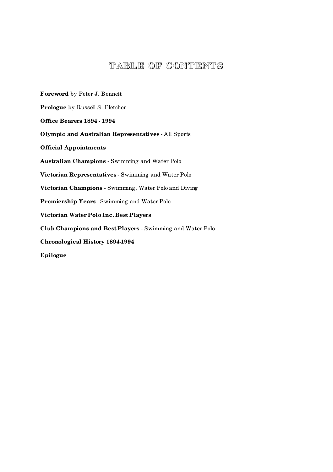# **TABLE OF CONTENT S**

**Foreword** by Peter J. Bennett **Prologue** by Russell S. Fletcher **Office Bearers 1894 - 1994 Olympic and Australian Representatives** - All Sports **Official Appointments Australian Champions** - Swimming and Water Polo **Victorian Representatives** - Swimming and Water Polo **Victorian Champions** - Swimming, Water Polo and Diving **Premiership Years** - Swimming and Water Polo **Victorian Water Polo Inc. Best Players Club Champions and Best Players** - Swimming and Water Polo **Chronological History 1894-1994 Epilogue**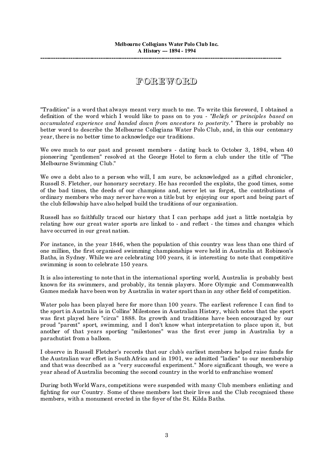# **F OREWORD**

"Tradition" is a word that always meant very much to me. To write this foreword, I obtained a definition of the word which I would like to pass on to you - *"Beliefs or principles based on accumulated experience and handed down from ancestors to posterity."* There is probably no better word to describe the Melbourne Collegians Water Polo Club, and, in this our centenary year, there is no better time to acknowledge our traditions.

We owe much to our past and present members - dating back to October 3, 1894, when 40 pioneering "gentlemen" resolved at the George Hotel to form a club under the title of "The Melbourne Swimming Club."

We owe a debt also to a person who will, I am sure, be acknowledged as a gifted chronicler, Russell S. Fletcher, our honorary secretary. He has recorded the exploits, the good times, some of the bad times, the deeds of our champions and, never let us forget, the contributions of ordinary members who may never have won a title but by enjoying our sport and being part of the club fellowship have also helped build the traditions of our organisation.

Russell has so faithfully traced our history that I can perhaps add just a little nostalgia by relating how our great water sports are linked to - and reflect - the times and changes which have occurred in our great nation.

For instance, in the year 1846, when the population of this country was less than one third of one million, the first organised swimming championships were held in Australia at Robinson's Baths, in Sydney. While we are celebrating 100 years, it is interesting to note that competitive swimming is soon to celebrate 150 years.

It is also interesting to note that in the international sporting world, Australia is probably best known for its swimmers, and probably, its tennis players. More Olympic and Commonwealth Games medals have been won by Australia in water sport than in any other field of competition.

Water polo has been played here for more than 100 years. The earliest reference I can find to the sport in Australia is in Collins' Milestones in Australian History, which notes that the sport was first played here "circa" 1888. Its growth and traditions have been encouraged by our proud "parent" sport, swimming, and I don't know what interpretation to place upon it, but another of that years sporting "milestones" was the first ever jump in Australia by a parachutist from a balloon.

I observe in Russell Fletcher's records that our club's earliest members helped raise funds for the Australian war effort in South Africa and in 1901, we admitted "ladies" to our membership and that was described as a "very successful experiment." More significant though, we were a year ahead of Australia becoming the second country in the world to enfranchise women!

During both World Wars, competitions were suspended with many Club members enlisting and fighting for our Country. Some of these members lost their lives and the Club recognised these members, with a monument erected in the foyer of the St. Kilda Baths.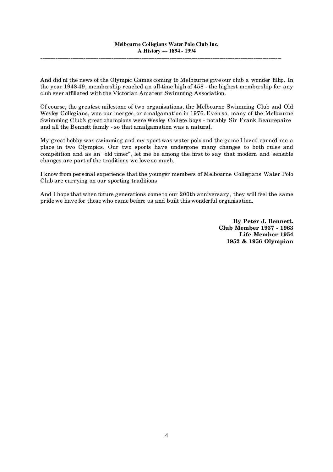And did'nt the news of the Olympic Games coming to Melbourne give our club a wonder fillip. In the year 1948-49, membership reached an all-time high of 458 - the highest membership for any club ever affiliated with the Victorian Amateur Swimming Association.

Of course, the greatest milestone of two organisations, the Melbourne Swimming Club and Old Wesley Collegians, was our merger, or amalgamation in 1976. Even so, many of the Melbourne Swimming Club's great champions were Wesley College boys - notably Sir Frank Beaurepaire and all the Bennett family - so that amalgamation was a natural.

My great hobby was swimming and my sport was water polo and the game I loved earned me a place in two Olympics. Our two sports have undergone many changes to both rules and competition and as an "old timer", let me be among the first to say that modern and sensible changes are part of the traditions we love so much.

I know from personal experience that the younger members of Melbourne Collegians Water Polo Club are carrying on our sporting traditions.

And I hope that when future generations come to our 200th anniversary, they will feel the same pride we have for those who came before us and built this wonderful organisation.

> **By Peter J. Bennett. Club Member 1937 - 1963 Life Member 1954 1952 & 1956 Olympian**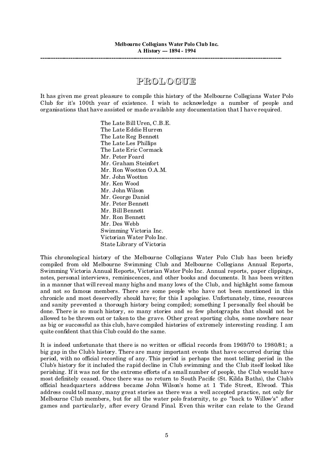# **PROL OGUE**

It has given me great pleasure to compile this history of the Melbourne Collegians Water Polo Club for it's 100th year of existence. I wish to acknowledge a number of people and organisations that have assisted or made available any documentation that I have required.

> The Late Bill Uren, C.B.E. The Late Eddie Hurren The Late Reg Bennett The Late Les Phillips The Late Eric Cormack Mr. Peter Foard Mr. Graham Steinfort Mr. Ron Wootton O.A.M. Mr. John Wootton Mr. Ken Wood Mr. John Wilson Mr. George Daniel Mr. Peter Bennett Mr. Bill Bennett Mr. Ron Bennett Mr. Des Webb Swimming Victoria Inc. Victorian Water Polo Inc. State Library of Victoria

This chronological history of the Melbourne Collegians Water Polo Club has been briefly compiled from old Melbourne Swimming Club and Melbourne Collegians Annual Reports, Swimming Victoria Annual Reports, Victorian Water Polo Inc. Annual reports, paper clippings, notes, personal interviews, reminiscences, and other books and documents. It has been written in a manner that will reveal many highs and many lows of the Club, and highlight some famous and not so famous members. There are some people who have not been mentioned in this chronicle and most deservedly should have; for this I apologise. Unfortunately, time, resources and sanity prevented a thorough history being compiled; something I personally feel should be done. There is so much history, so many stories and so few photographs that should not be allowed to be thrown out or taken to the grave. Other great sporting clubs, some nowhere near as big or successful as this club, have compiled histories of extremely interesting reading. I am quite confident that this Club could do the same.

It is indeed unfortunate that there is no written or official records from 1969/70 to 1980/81; a big gap in the Club's history. There are many important events that have occurred during this period, with no official recording of any. This period is perhaps the most telling period in the Club's history for it included the rapid decline in Club swimming and the Club itself looked like perishing. If it was not for the extreme efforts of a small number of people, the Club would have most definitely ceased. Once there was no return to South Pacific (St. Kilda Baths), the Club's official headquarters address became John Wilson's home at 1 Tide Street, Elwood. This address could tell many, many great stories as there was a well accepted practice, not only for Melbourne Club members, but for all the water polo fraternity, to go "back to Willow's" after games and particularly, after every Grand Final. Even this writer can relate to the Grand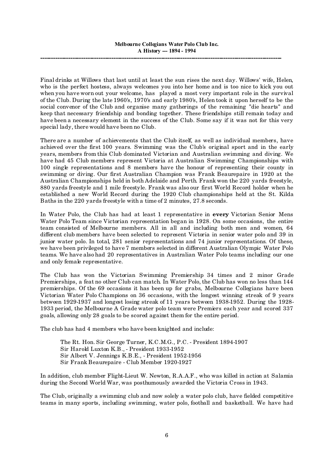Final drinks at Willows that last until at least the sun rises the next day. Willows' wife, Helen, who is the perfect hostess, always welcomes you into her home and is too nice to kick you out when you have worn out your welcome, has played a most very important role in the survival of the Club. During the late 1960's, 1970's and early 1980's, Helen took it upon herself to be the social convenor of the Club and organise many gatherings of the remaining "die hearts" and keep that necessary friendship and bonding together. These friendships still remain today and have been a necessary element in the success of the Club. Some say if it was not for this very special lady, there would have been no Club.

There are a number of achievements that the Club itself, as well as individual members, have achieved over the first 100 years. Swimming was the Club's original sport and in the early years, members from this Club dominated Victorian and Australian swimming and diving. We have had 45 Club members represent Victoria at Australian Swimming Championships with 100 single representations and 8 members have the honour of representing their county in swimming or diving. Our first Australian Champion was Frank Beaurepaire in 1920 at the Australian Championships held in both Adelaide and Perth. Frank won the 220 yards freestyle, 880 yards freestyle and 1 mile freestyle. Frank was also our first World Record holder when he established a new World Record during the 1920 Club championships held at the St. Kilda Baths in the 220 yards freestyle with a time of 2 minutes, 27.8 seconds.

In Water Polo, the Club has had at least 1 representative in **every** Victorian Senior Mens Water Polo Team since Victorian representation began in 1928. On some occasions, the entire team consisted of Melbourne members. All in all and including both men and women, 64 different club members have been selected to represent Victoria in senior water polo and 39 in junior water polo. In total, 281 senior representations and 74 junior representations. Of these, we have been privileged to have 7 members selected in different Australian Olympic Water Polo teams. We have also had 20 representatives in Australian Water Polo teams including our one and only female representative.

The Club has won the Victorian Swimming Premiership 34 times and 2 minor Grade Premierships, a feat no other Club can match. In Water Polo, the Club has won no less than 144 premierships. Of the 69 occasions it has been up for grabs, Melbourne Collegians have been Victorian Water Polo Champions on 36 occasions, with the longest winning streak of 9 years between 1929-1937 and longest losing streak of 11 years between 1938-1952. During the 1928- 1933 period, the Melbourne A Grade water polo team were Premiers each year and scored 337 goals, allowing only 28 goals to be scored against them for the entire period.

The club has had 4 members who have been knighted and include:

The Rt. Hon. Sir George Turner, K.C.M.G., P.C. - President 1894-1907 Sir Harold Luxton K.B., - President 1933-1952 Sir Albert V. Jennings K.B.E., - President 1952-1956 Sir Frank Beaurepaire - Club Member 1920-1927

In addition, club member Flight-Lieut W. Newton, R.A.A.F., who was killed in action at Salamia during the Second World War, was posthumously awarded the Victoria Cross in 1943.

The Club, originally a swimming club and now solely a water polo club, have fielded competitive teams in many sports, including swimming, water polo, football and basketball. We have had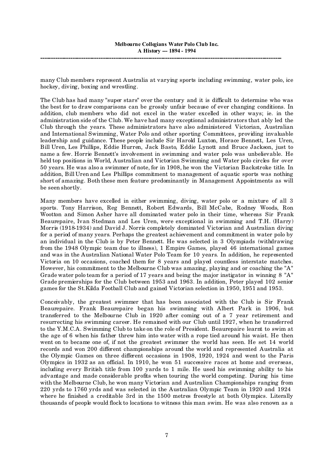many Club members represent Australia at varying sports including swimming, water polo, ice hockey, diving, boxing and wrestling.

The Club has had many "super stars" over the century and it is difficult to determine who was the best for to draw comparisons can be grossly unfair because of ever changing conditions. In addition, club members who did not excel in the water excelled in other ways; ie. in the administration side of the Club. We have had many exceptional administrators that ably led the Club through the years. These administrators have also administered Victorian, Australian and International Swimming, Water Polo and other sporting Committees, providing invaluable leadership and guidance. These people include Sir Harold Luxton, Horace Bennett, Les Uren, Bill Uren, Les Phillips, Eddie Hurren, Jack Basto, Eddie Lynott and Bruce Jackson, just to name a few. Horrie Bennett's involvement in swimming and water polo was unbelievable. He held top positions in World, Australian and Victorian Swimming and Water polo circles for over 50 years. He was also a swimmer of note, for in 1908, he won the Victorian Backstroke title. In addition, Bill Uren and Les Phillips commitment to management of aquatic sports was nothing short of amazing. Both these men feature predominantly in Management Appointments as will be seen shortly.

Many members have excelled in either swimming, diving, water polo or a mixture of all 3 sports. Tony Harrison, Reg Bennett, Robert Edwards, Bill McCabe, Rodney Woods, Ron Wootton and Simon Asher have all dominated water polo in their time, whereas Sir Frank Beaurepaire, Ivan Stedman and Les Uren, were exceptional in swimming and T.H. (Harry) Morris (1918-1934) and David J. Norris completely dominated Victorian and Australian diving for a period of many years. Perhaps the greatest achievement and commitment in water polo by an individual in the Club is by Peter Bennett. He was selected in 3 Olympiads (withdrawing from the 1948 Olympic team due to illness), 1 Empire Games, played 46 international games and was in the Australian National Water Polo Team for 10 years. In addition, he represented Victoria on 10 occasions, coached them for 8 years and played countless interstate matches. However, his commitment to the Melbourne Club was amazing, playing and or coaching the "A" Grade water polo team for a period of 17 years and being the major instigator in winning 8 "A" Grade premierships for the Club between 1953 and 1963. In addition, Peter played 102 senior games for the St.Kilda Football Club and gained Victorian selection in 1950, 1951 and 1953.

Conceivably, the greatest swimmer that has been associated with the Club is Sir Frank Beaurepaire. Frank Beaurepaire began his swimming with Albert Park in 1906, but transferred to the Melbourne Club in 1920 after coming out of a 7 year retirement and resurrecting his swimming career. He remained with our Club until 1927, when he transferred to the Y.M.C.A. Swimming Club to take on the role of President. Beaurepaire learnt to swim at the age of 6 when his father threw him into water with a rope tied around his waist. He then went on to became one of, if not the greatest swimmer the world has seen. He set 14 world records and won 200 different championships around the world and represented Australia at the Olympic Games on three different occasions in 1908, 1920, 1924 and went to the Paris Olympics in 1932 as an official. In 1910, he won 51 successive races at home and overseas, including every British title from 100 yards to 1 mile. He used his swimming ability to his advantage and made considerable profits when touring the world competing. During his time with the Melbourne Club, he won many Victorian and Australian Championships ranging from 220 yrds to 1760 yrds and was selected in the Australian Olympic Team in 1920 and 1924 where he finished a creditable 3rd in the 1500 metres freestyle at both Olympics. Literally thousands of people would flock to locations to witness this man swim. He was also renown as a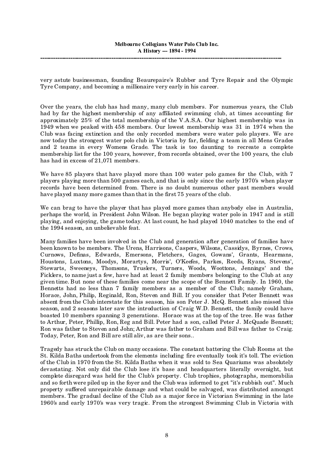very astute businessman, founding Beaurepaire's Rubber and Tyre Repair and the Olympic Tyre Company, and becoming a millionaire very early in his career.

Over the years, the club has had many, many club members. For numerous years, the Club had by far the highest membership of any affiliated swimming club, at times accounting for approximately 25% of the total membership of the V.A.S.A. Our highest membership was in 1949 when we peaked with 458 members. Our lowest membership was 31 in 1974 when the Club was facing extinction and the only recorded members were water polo players. We are now today the strongest water polo club in Victoria by far, fielding a team in all Mens Grades and 2 teams in every Womens Grade. The task is too daunting to recreate a complete membership list for the 100 years, however, from records obtained, over the 100 years, the club has had in excess of 21,071 members.

We have 85 players that have played more than 100 water polo games for the Club, with 7 players playing more than 500 games each, and that is only since the early 1970's when player records have been determined from. There is no doubt numerous other past members would have played many more games than that in the first 75 years of the club.

We can brag to have the player that has played more games than anybody else in Australia, perhaps the world, in President John Wilson. He began playing water polo in 1947 and is still playing, and enjoying, the game today. At last count, he had played 1040 matches to the end of the 1994 season, an unbelievable feat.

Many families have been involved in the Club and generation after generation of families have been known to be members. The Urens, Harrisons, Caspers, Wilsons, Cassidys, Byrnes, Crows, Curnows, Definas, Edwards, Emersons, Fletchers, Gages, Gowans', Grants, Hearmans, Houstons, Luxtons, Moodys, Morartys, Morris', O'Keefes, Parkes, Reeds, Ryans, Stevens', Stewarts, Sweeneys, Thomsons, Truslers, Turners, Woods, Woottons, Jennings' and the Ficklers, to name just a few, have had at least 2 family members belonging to the Club at any given time. But none of these families come near the scope of the Bennett Family. In 1960, the Bennetts had no less than 7 family members as a member of the Club; namely Graham, Horace, John, Philip, Reginald, Ron, Steven and Bill. If you consider that Peter Bennett was absent from the Club interstate for this season, his son Peter J. McQ. Bennett also missed this season, and 2 seasons later saw the introduction of Craig W.D. Bennett, the family could have boasted 10 members spanning 3 generations. Horace was at the top of the tree. He was father to Arthur, Peter, Phillip, Ron, Reg and Bill. Peter had a son, called Peter J. McQuade Bennett; Ron was father to Steven and John; Arthur was father to Graham and Bill was father to Craig. Today, Peter, Ron and Bill are still aliv, as are their sons..

Tragedy has struck the Club on many occasions. The constant battering the Club Rooms at the St. Kilda Baths undertook from the elements including fire eventually took it's toll. The eviction of the Club in 1970 from the St. Kilda Baths when it was sold to Sea Quariums was absolutely devastating. Not only did the Club lose it's base and headquarters literally overnight, but complete disregard was held for the Club's property. Club trophies, photographs, memorabilia and so forth were piled up in the foyer and the Club was informed to get "it's rubbish out". Much property suffered unrepairable damage and what could be salvaged, was distributed amongst members. The gradual decline of the Club as a major force in Victorian Swimming in the late 1960's and early 1970's was very tragic. From the strongest Swimming Club in Victoria with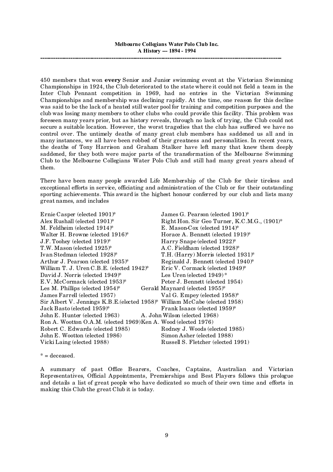450 members that won **every** Senior and Junior swimming event at the Victorian Swimming Championships in 1924, the Club deteriorated to the state where it could not field a team in the Inter Club Pennant competition in 1969, had no entries in the Victorian Swimming Championships and membership was declining rapidly. At the time, one reason for this decline was said to be the lack of a heated still water pool for training and competition purposes and the club was losing many members to other clubs who could provide this facility. This problem was foreseen many years prior, but as history reveals, through no lack of trying, the Club could not secure a suitable location. However, the worst tragedies that the club has suffered we have no control over. The untimely deaths of many great club members has saddened us all and in many instances, we all have been robbed of their greatness and personalities. In recent years, the deaths of Tony Harrison and Graham Stalker have left many that knew them deeply saddened, for they both were major parts of the transformation of the Melbourne Swimming Club to the Melbourne Collegians Water Polo Club and still had many great years ahead of them.

There have been many people awarded Life Membership of the Club for their tireless and exceptional efforts in service, officiating and administration of the Club or for their outstanding sporting achievements. This award is the highest honour conferred by our club and lists many great names, and includes

| Ernie Casper (elected 1901)*                                                | James G. Pearson (elected 1901)*             |
|-----------------------------------------------------------------------------|----------------------------------------------|
| Alex Rushall (elected 1901)*                                                | Right Hon. Sir Geo Turner, K.C.M.G., (1901)* |
| M. Feldheim (elected $1914$ <sup>*</sup>                                    | E. Mason-Cox (elected $1914$ <sup>*</sup>    |
| Walter H. Browne (elected 1916)*                                            | Horace A. Bennett (elected 1919)*            |
| J.F. Toohey (elected 1919)*                                                 | Harry Snape (elected 1922)*                  |
| T.W. Mason (elected 1925)*                                                  | A.C. Fieldham (elected 1928)*                |
| Ivan Stedman (elected 1928)*                                                | T.H. (Harry) Morris (elected 1931)*          |
| Arthur J. Pearson (elected $1935$ )*                                        | Reginald J. Bennett (elected 1940)*          |
| William T. J. Uren C.B.E. (elected $1942$ <sup>*</sup>                      | Eric V. Cormack (elected 1949)*              |
| David J. Norris (elected 1949)*                                             | Les Uren (elected $1949$ )*                  |
| $E.V.$ McCormack (elected 1953) <sup>*</sup>                                | Peter J. Bennett (elected 1954)              |
| Les M. Phillips (elected $1954$ )*                                          | Gerald Maynard (elected 1955)*               |
| James Farrell (elected 1957)                                                | Val G. Empey (elected 1958)*                 |
| Sir Albert V. Jennings K.B.E. (elected 1958)* William McCabe (elected 1958) |                                              |
| Jack Basto (elected 1959)*                                                  | Frank Isaacs (elected 1959)*                 |
| John E. Hunter (elected 1963) A. John Wilson (elected 1968)                 |                                              |
| Ron A. Wootton O.A.M. (elected 1969)Ken A. Wood (elected 1976)              |                                              |
| Robert C. Edwards (elected 1985)                                            | Rodney J. Woods (elected 1985)               |
| John E. Wootton (elected 1986)                                              | Simon Asher (elected 1988)                   |
| Vicki Laing (elected 1988)                                                  | Russell S. Fletcher (elected 1991)           |

 $* =$  deceased.

A summary of past Office Bearers, Coaches, Captains, Australian and Victorian Representatives, Official Appointments, Premierships and Best Players follows this prologue and details a list of great people who have dedicated so much of their own time and efforts in making this Club the great Club it is today.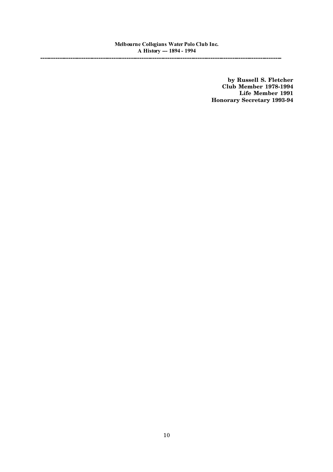**by Russell S. Fletcher Club Member 1978-1994 Life Member 1991 Honorary Secretary 1993-94**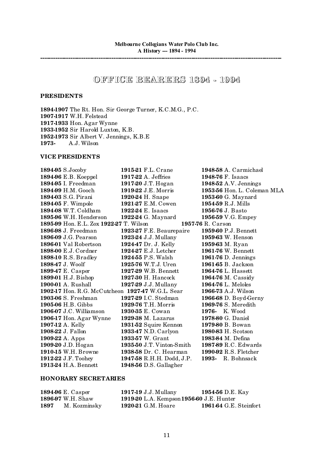# **OFF ICE BEARERS 1894 - 1994**

# **PRESIDENTS**

**1894-1907** The Rt. Hon. Sir George Turner, K.C.M.G., P.C. **1907-1917** W.H. Felstead **1917-1933** Hon. Agar Wynne **1933-1952** Sir Harold Luxton, K.B. **1952-1973** Sir Albert V. Jennings, K.B.E **1973-** A.J. Wilson

# **VICE PRESIDENTS**

| 189495 S.Jocoby                                  | 1915-21 F.L. Crane       | 1948-58 A. Carmichael      |
|--------------------------------------------------|--------------------------|----------------------------|
| 1894-96 E.B. Koeppel                             | 1917-22 A. Jeffries      | 1948-76 F. Isaacs          |
| 189495 I. Freedman                               | 1917-20 J.T. Hogan       | 194852 A.V. Jennings       |
| 1894-99 H.M. Gooch                               | 1919-22 J.E. Morris      | 195356 Hon. L. Coleman MLA |
| 1894-03 S.G. Pirani                              | 1920-24 H. Snape         | 1953-60 G. Maynard         |
| 1894-05 F. Wimpole                               | 1921-27 E.M. Cowen       | 195459 R.J. Mills          |
| 1894-08 W.T. Coldham                             | 1922-24 E. Isaacs        | 1956-76 J. Basto           |
| 1895-96 W.H. Henderson                           | 1922-24 G. Maynard       | 195659 V.G. Empey          |
| 1895-99 Hon. E.L. Zox 1922-27 T. Wilson          |                          | 1957-76 R. Carson          |
| 1896-98 J. Freedman                              | 1923-27 F.E. Beaurepaire | 1959-60 P.J. Bennett       |
| 1896-09 J.G. Pearson                             | 1923-24 J.J. Mullany     | 1959-63 W. Henson          |
| 1896-01 Val Robertson                            | 192447 Dr. J. Kelly      | 1959-63 M. Ryan            |
| 1898-00 E.J. Cordner                             | 1924-27 E.J. Letcher     | 1961-76 W. Bennett         |
| 1898-10 R.S. Bradley                             | 192455 P.S. Walsh        | 1961-76 D. Jennings        |
| 189847 J. Woolf                                  | 1925-76 W.T.J. Uren      | 1961-65 B. Jackson         |
| 189947 E. Casper                                 | 1927-29 W.B. Bennett     | 1964-76 L. Hassett         |
| 1899-01 H.J. Bishop                              | 1927-30 H. Hancock       | 1964-76 M. Cassidy         |
| 1900-01 A. Rushall                               | 1927-29 J.J. Mullany     | 1964-76 L. Meloles         |
| 1902-17 Hon. R.G. McCutcheon 1927-47 W.G.L. Sear |                          | 1966-73 A.J. Wilson        |
| 1903-06 S. Freshman                              | 1927-29 I.C. Stedman     | 1966-68 D. Boyd-Gerny      |
| <b>1905-06 H.B. Gibbs</b>                        | 1929-76 T.H. Morris      | 1969-76 S. Meredith        |
| 1906-07 J.C. Williamson                          | 1930-35 E. Cowan         | <b>1976-</b> K. Wood       |
| 1906-17 Hon. Agar Wynne                          | 1929-38 M. Lazarus       | 1978-80 G. Daniel          |
| 1907-12 A. Kelly                                 | 1931-52 Squire Kennon    | 1979-80 B. Bowan           |
| 1908-22 J. Fallon                                | 193347 N.D. Carlyon      | 1980-83 H. Scotson         |
| 1909-22 A. Apps                                  | 193357 W. Grant          | 1983-84 M. Defina          |
| 1909-20 J.D. Hogan                               | 193550 J.T. Vinton-Smith | 198789 R.C. Edwards        |
| 1910-15 W.H. Browne                              | 1938-58 Dr. C. Hearman   | 1990-92 R.S. Fletcher      |
| 1912-22 J.F. Toohey                              | 194758 R.H.H. Dodd, J.P. | 1993- R. Bohnsack          |
| 1913-24 H.A. Bennett                             | 194856 D.S. Gallagher    |                            |

# **HONORARY SECRETARIES**

|      | 1894-96 E. Casper        | 1917-19 J.J. Mullany                     | 1954-56 D.E. Kay              |
|------|--------------------------|------------------------------------------|-------------------------------|
|      | <b>1896-97</b> W.H. Shaw | 1919-20 L.A. Kempson 1956-60 J.E. Hunter |                               |
| 1897 | M. Kozminsky             | 1920-21 G.M. Hoare                       | <b>1961-64 G.E. Steinfort</b> |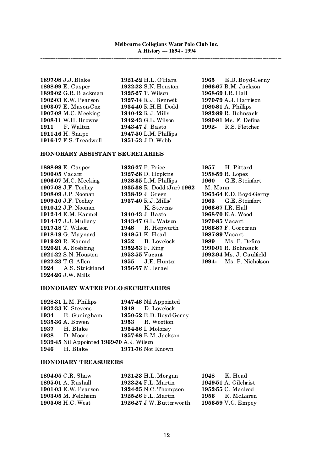**1897-98** J.J. Blake **1921-22** H.L. O'Hara **1965** E.D. Boyd-Gerny **1898-99** E. Casper **1922-23** S.N. Houston **1966-67** B.M. Jackson **1899-02** G.R. Blackman **1925-27** T. Wilson **1968-69** I.R. Hall **1902-03** E.W. Pearson **1927-34** R.J. Bennett **1970-79** A.J. Harrison **1903-07** E. Mason-Cox **1934-40** R.H.H. Dodd **1980-81** A. Phillips **1907-08** M.C. Meeking **1940-42** R.J. Mills **1982-89** R. Bohnsack **1908-11** W.H. Browne **1942-43** G.L. Wilson **1990-91** Ms. F. Defina **1911** F. Walton **1943-47** J. Basto **1992-** R.S. Fletcher **1911-16** H. Snape **1947-50** L.M. Phillips **1916-17** F.S. Treadwell **1951-53** J.D. Webb

#### **HONORARY ASSISTANT SECRETARIES**

**1898-99** E. Casper **1926-27** F. Price **1957** H. Pittard **1900-05** Vacant **1927-28** D. Hopkins **1958-59** R. Lopez **1906-07** M.C. Meeking **1928-35** L.M. Phillips **1960** G.E. Steinfort **1907-08** J.F. Toohey **1935-38** R. Dodd (Jnr) **1962** M. Mann **1909-10** J.F. Toohey **1937-40** R.J. Mills/ **1965** G.E. Steinfort **1910-12** J.P. Noonan **1940-43** J. Basto **1966-67** I.R. Hall **1912-14** E.M. Karmel **1940-43** J. Basto **1968-70** K.A. Woo **1912-14** E.M. Karmel **1940-43** J. Basto **1968-70** K.A. Wood **1914-17** J.J. Mullany **1943-47** G.L. Watson **1970-85** Vacant **1917-18** T. Wilson **1948** R. Hepworth **1986-87** F. Corcoran **1918-19** G. Maynard **1949-51** K. Head **1987-89** Vacant **1919-20** R. Karmel **1952** B. Lovelock **1989** Ms. F. Defina **1920-21** A. Stebbing **1952-53** F. King **1990-91** R. Bohnsack **1924** A.S. Strickland **1956-57** M. Israel **1924-26** J.W. Mills

**1908-09** J.P. Noonan **1938-39** J. Green **1963-64** E.D. Boyd-Gerny **1921-22** S.N. Houston **1953-55** Vacant **1992-94** Ms. J. Caulfield **1922-23** T.G. Allen **1955** J.E. Hunter **1994-** Ms. P. Nicholson

# **HONORARY WATER POLO SECRETARIES**

| <b>1928-31 L.M. Phillips</b>             | 194748 Nil Appointed    |
|------------------------------------------|-------------------------|
| 1932-33 K. Stevens                       | 1949 D. Lovelock        |
| 1934 E. Guningham                        | 1950-52 E.D. Boyd-Gerny |
| 1935-36 A. Bowen                         | 1953 R. Wootton         |
| <b>1937</b> H. Blake                     | 1954-56 I. Moloney      |
| 1938 D. Moore                            | 1957-68 B.M. Jackson    |
| 193945 Nil Appointed 1969-70 A.J. Wilson |                         |
| <b>1946</b> H. Blake                     | 1971-76 Not Known       |

#### **HONORARY TREASURERS**

| 189495 C.R. Shaw            | 1921-23 H.L. Morgan      | <b>1948</b> K. Head         |
|-----------------------------|--------------------------|-----------------------------|
| <b>1895-01</b> A. Rushall   | 1923-24 F.L. Martin      | <b>1949-51 A. Gilchrist</b> |
| <b>1901-03 E.W. Pearson</b> | 1924-25 N.C. Thompson    | 1952-55 C. Macleod          |
| $1903-05$ M. Feldheim       | 1925-26 F.L. Martin      | 1956 R. McLaren             |
| 1905-08 H.C. West           | 1926-27 J.W. Butterworth | 1956-59 V.G. Empey          |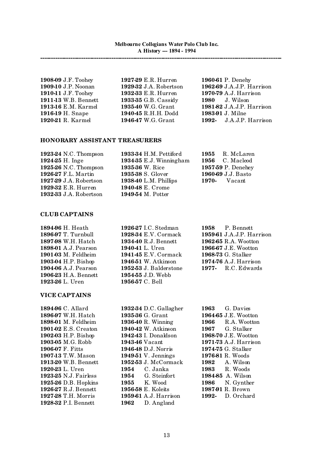| 1908-09 J.F. Toohey  | 1927-29 E.R. Hurren    | 1960-61 P. Denehy         |
|----------------------|------------------------|---------------------------|
| 1909-10 J.P. Noonan  | 1929-32 J.A. Robertson | 1962-69 J.A.J.P. Harrison |
| 1910-11 J.F. Toohey  | 1932-33 E.R. Hurren    | 1970-79 A.J. Harrison     |
| 1911-13 W.B. Bennett | 193335 G.B. Cassidy    | <b>1980</b> J. Wilson     |
| 1913-16 E.M. Karmel  | 193540 W.G. Grant      | 1981-82 J.A.J.P. Harrison |
| 1916-19 H. Snape     | 194045 R.H.H. Dodd     | 1983-91 J. Milne          |
| 1920-21 R. Karmel    | 194647 W.G. Grant      | 1992- J.A.J.P. Harrison   |

# **HONORARY ASSISTANT TREASURERS**

| 1923-24 N.C. Thompson  | 193334 H.M. Pettiford  | 1955 R. McLaren    |
|------------------------|------------------------|--------------------|
| 1924 25 H. Inge        | 193435 E.J. Winningham | $1956$ C. Macleod  |
| 1925-26 N.C. Thompson  | 1935-36 W. Rice        | 1957-59 P. Denehey |
| 1926-27 F.L. Martin    | 1935-38 S. Glover      | 1960-69 J.J. Basto |
| 1927-29 J.A. Robertson | 193840 L.M. Phillips   | $1970 - Vacant$    |
| 1929-32 E.R. Hurren    | 194048 E. Crome        |                    |
| 1932-33 J.A. Robertson | 194954 M. Potter       |                    |
|                        |                        |                    |

#### **CLUB CAPTAINS**

| 1894-96 H. Heath            |
|-----------------------------|
| 1896-97 T. Turnbull         |
| 1897-98 W.H. Hatch          |
| 1898-01 A.J. Pearson        |
| <b>1901-03 M. Feldheim</b>  |
| 1903-04 H.P. Bishop         |
| <b>1904-06 A.J. Pearson</b> |
| 1906-23 H.A. Bennett        |
| 1923-26 L. Uren             |

# **VICE CAPTAINS**

**1928-32** P.I. Bennett **1962** D. Angland

**1894-96** H. Heath **1926-27** I.C. Stedman **1958** P. Bennett **1897-98** W.H. Hatch **1934-40** R.J. Bennett **1962-65** R.A. Wootton **1898-01** A.J. Pearson **1940-41** L. Uren **1966-67** J.E. Wootton **1901-03** M. Feldheim **1941-45** E.V. Cormack **1968-73** G. Stalker **1946-51** W. Atkinson **1974-76** A.J. Harrison **1952-53** J. Balderstone **1977-** R.C. Edwards 1954-55 J.D. Webb **1956-57** C. Bell

**1928-34** E.V. Cormack **1959-61** J.A.J.P. Harrison

**1894-96** C. Allard **1932-34** D.C. Gallagher **1963** G. Davies **1896-97** W.H. Hatch **1935-36** G. Grant **1964-65** J.E. Wootton **1898-01** M. Feldheim **1936-40** R. Winning **1966** R.A. Wootton **1901-02** E.S. Creaton **1940-42** W. Atkinson **1967** G. Stalker **1902-03** H.P. Bishop **1942-43** I. Donaldson **1968-70** J.E. Wootton **1903-05** M.G. Robb **1943-46** Vacant **1971-73** A.J. Harrison **1906-07** F. Fitts **1946-48** D.J. Norris **1974-75** G. Stalker **1907-13** T.W. Mason **1949-51** V. Jennings **1976-81** R. Woods **1913-20** W.B. Bennett **1952-53** J. McCormack **1982** A. Wilson **1920-23** L. Uren **1954** C. Janka **1983** R. Woods **1923-25** N.J. Fairless **1954** G. Steinfort **1984-85** A. Wilson **1925-26** D.B. Hopkins **1955** K. Wood **1986** N. Gynther **1926-27** R.J. Bennett **1956-58** E. Koleits **1987-91** R. Brown **1927-28** T.H. Morris **1959-61** A.J. Harrison **1992-** D. Orchard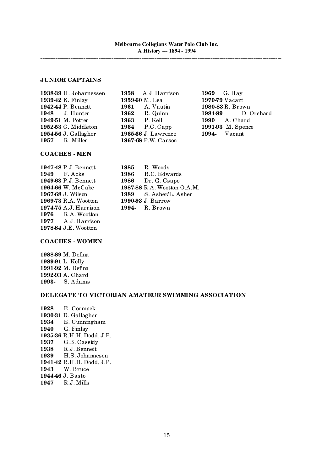# **JUNIOR CAPTAINS**

**1938-39** H. Johannessen **1958** A.J. Harrison **1969** G. Hay **1939-42** K. Finlay **1959-60** M. Lea **1970-79** Vacant **1942-44** P. Bennett **1961** A. Vautin **1980-83** R. Brown **1949-51** M. Potter **1963** P. Kell **1990** A. Chard **1952-53** G. Middleton **1964** P.C. Capp **1991-93** M. Spence **1954-56** J. Gallagher **1965-66** J. Lawrence **1994-** Vacant **1957** R. Miller **1967-68** P.W. Carson

**1948** J. Hunter **1962** R. Quinn **1984-89** D. Orchard

## **COACHES - MEN**

**1949-63** P.J. Bennett **1986** Dr. G. Csapo **1969-73** R.A. Wootton **1990-93** J. Barrow **1974-75** A.J. Harrison **1994-** R. Brown **1976** R.A. Wootton **1977** A.J. Harrison **1978-84** J.E. Wootton

**1947-48** P.J. Bennett **1985** R. Woods **1949** F. Acks **1986** R.C. Edwards **1964-66** W. McCabe **1987-88** R.A. Wootton O.A.M. **1967-68** J. Wilson **1989** S. Asher/L. Asher

#### **COACHES - WOMEN**

**1988-89** M. Defina **1989-91** L. Kelly **1991-92** M. Defina **1992-93** A. Chard **1993-** S. Adams

#### **DELEGATE TO VICTORIAN AMATEUR SWIMMING ASSOCIATION**

**1928** E. Cormack **1930-31** D. Gallagher **1934** E. Cunningham **1940** G. Finlay **1935-36** R.H.H. Dodd, J.P. **1937** G.B. Cassidy **1938** R.J. Bennett **1939** H.S. Johannesen **1941-42** R.H.H. Dodd, J.P. **1943** W. Bruce **1944-46** J. Basto **1947** R.J. Mills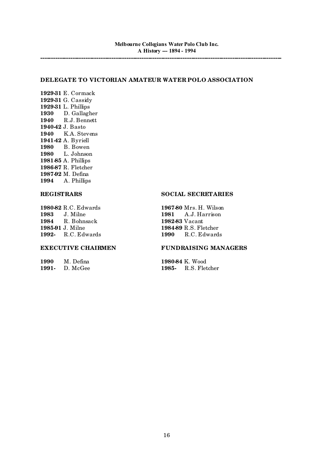# **DELEGATE TO VICTORIAN AMATEUR WATER POLO ASSOCIATION**

**1929-31** E. Cormack **1929-31** G. Cassidy **1929-31** L. Phillips **1930** D. Gallagher **1940** R.J. Bennett **1940-42** J. Basto **1940** K.A. Stevens **1941-42** A. Byriell **1980** B. Bowen **1980** L. Johnson **1981-85** A. Phillips **1986-87** R. Fletcher **1987-92** M. Defina **1994** A. Phillips

**1980-82** R.C. Edwards **1967-80** Mrs. H. Wilson **1983** J. Milne **1981** A.J. Harrison **1984** R. Bohnsack **1982-83** Vacant **1985-91** J. Milne **1984-89** R.S. Fletcher **1992-** R.C. Edwards **1990** R.C. Edwards

**1990** M. Defina **1980-84** K. Wood<br> **1991-** D. McGee **1985-** R.S. Flet

# **REGISTRARS SOCIAL SECRETARIES**

#### **EXECUTIVE CHAIRMEN FUNDRAISING MANAGERS**

**1985-** R.S. Fletcher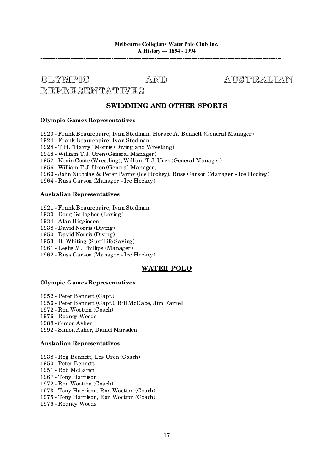# **OLYMPIC AND AUST RAL IAN**

# **REPRESENTAT IVES**

# **SWIMMING AND OTHER SPORTS**

# **Olympic Games Representatives**

- Frank Beaurepaire, Ivan Stedman, Horace A. Bennett (General Manager)

- Frank Beaurepaire, Ivan Stedman.

- T.H. "Harry" Morris (Diving and Wrestling)

- William T.J. Uren (General Manager)

- Kevin Coote (Wrestling), William T.J. Uren (General Manager)

- William T.J. Uren (General Manager)

- John Nicholas & Peter Parrot (Ice Hockey), Russ Carson (Manager - Ice Hockey)

- Russ Carson (Manager - Ice Hockey)

# **Australian Representatives**

- Frank Beaurepaire, Ivan Stedman
- Doug Gallagher (Boxing)
- Alan Higginson
- David Norris (Diving)

- David Norris (Diving)

- B. Whiting (Surf Life Saving)

- Leslie M. Phillips (Manager)

- Russ Carson (Manager - Ice Hockey)

# **WATER POLO**

# **Olympic Games Representatives**

 - Peter Bennett (Capt.) - Peter Bennett (Capt.), Bill McCabe, Jim Farrell - Ron Wootton (Coach) - Rodney Woods - Simon Asher - Simon Asher, Daniel Marsden

## **Australian Representatives**

 - Reg Bennett, Les Uren (Coach) - Peter Bennett - Rob McLaren - Tony Harrison - Ron Wootton (Coach) - Tony Harrison, Ron Wootton (Coach) - Tony Harrison, Ron Wootton (Coach) - Rodney Woods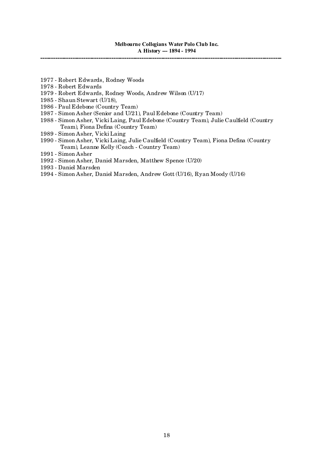- Robert Edwards, Rodney Woods
- Robert Edwards
- Robert Edwards, Rodney Woods, Andrew Wilson (U/17)
- Shaun Stewart (U/18),
- Paul Edebone (Country Team)
- Simon Asher (Senior and U/21), Paul Edebone (Country Team)
- Simon Asher, Vicki Laing, Paul Edebone (Country Team), Julie Caulfield (Country Team), Fiona Defina (Country Team)
- Simon Asher, Vicki Laing
- Simon Asher, Vicki Laing, Julie Caulfield (Country Team), Fiona Defina (Country Team), Leanne Kelly (Coach - Country Team)
- Simon Asher
- Simon Asher, Daniel Marsden, Matthew Spence (U/20)
- Daniel Marsden
- Simon Asher, Daniel Marsden, Andrew Gott (U/16), Ryan Moody (U/16)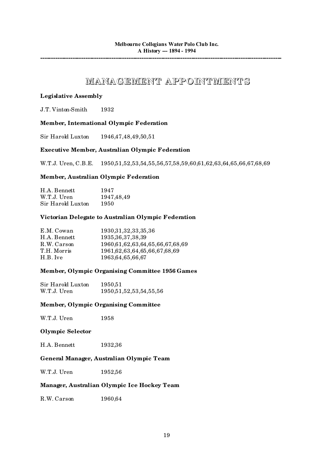# **MANAGEMENT APPOINTMENT S**

# **Legislative Assembly**

J.T. Vinton-Smith 1932

# **Member, International Olympic Federation**

Sir Harold Luxton 1946,47,48,49,50,51

# **Executive Member, Australian Olympic Federation**

W.T.J. Uren, C.B.E. 1950,51,52,53,54,55,56,57,58,59,60,61,62,63,64,65,66,67,68,69

# **Member, Australian Olympic Federation**

| H.A. Bennett      | 1947         |
|-------------------|--------------|
| W.T.J. Uren       | 1947, 48, 49 |
| Sir Harold Luxton | 1950         |

# **Victorian Delegate to Australian Olympic Federation**

| E.M. Cowan   | 1930, 31, 32, 33, 35, 36             |
|--------------|--------------------------------------|
| H.A. Bennett | 1935, 36, 37, 38, 39                 |
| R.W. Carson  | 1960,61,62,63,64,65,66,67,68,69      |
| T.H. Morris  | 1961, 62, 63, 64, 65, 66, 67, 68, 69 |
| H.B. Ive     | 1963, 64, 65, 66, 67                 |
|              |                                      |

# **Member, Olympic Organising Committee 1956 Games**

Sir Harold Luxton 1950,51 W.T.J. Uren 1950,51,52,53,54,55,56

## **Member, Olympic Organising Committee**

| W.T.J. Uren | 1958 |
|-------------|------|
|-------------|------|

## **Olympic Selector**

H.A. Bennett 1932,36

# **General Manager, Australian Olympic Team**

W.T.J. Uren 1952,56

# **Manager, Australian Olympic Ice Hockey Team**

R.W. Carson 1960,64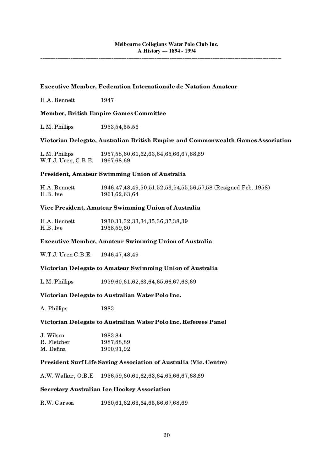**----------------------------------------------------------------------------------------------------------------**

# **Executive Member, Federation Internationale de Natation Amateur** H.A. Bennett 1947 **Member, British Empire Games Committee** L.M. Phillips 1953,54,55,56 **Victorian Delegate, Australian British Empire and Commonwealth Games Association** L.M. Phillips 1957,58,60,61,62,63,64,65,66,67,68,69 W.T.J. Uren, C.B.E. 1967,68,69 **President, Amateur Swimming Union of Australia** H.A. Bennett 1946,47,48,49,50,51,52,53,54,55,56,57,58 (Resigned Feb. 1958) H.B. Ive 1961,62,63,64 **Vice President, Amateur Swimming Union of Australia** H.A. Bennett 1930,31,32,33,34,35,36,37,38,39 H.B. Ive 1958,59,60 **Executive Member, Amateur Swimming Union of Australia** W.T.J. Uren C.B.E. 1946,47,48,49

# **Victorian Delegate to Amateur Swimming Union of Australia**

L.M. Phillips 1959,60,61,62,63,64,65,66,67,68,69

## **Victorian Delegate to Australian Water Polo Inc.**

A. Phillips 1983

## **Victorian Delegate to Australian Water Polo Inc. Referees Panel**

| J. Wilson   | 1983,84      |
|-------------|--------------|
| R. Fletcher | 1987, 88, 89 |
| M. Defina   | 1990,91,92   |

# **President Surf Life Saving Association of Australia (Vic. Centre)**

A.W. Walker, O.B.E 1956,59,60,61,62,63,64,65,66,67,68,69

# **Secretary Australian Ice Hockey Association**

R.W. Carson 1960,61,62,63,64,65,66,67,68,69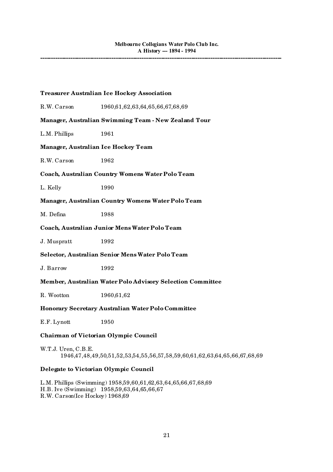## **Treasurer Australian Ice Hockey Association**

R.W. Carson 1960,61,62,63,64,65,66,67,68,69 **Manager, Australian Swimming Team - New Zealand Tour** L.M. Phillips 1961 **Manager, Australian Ice Hockey Team** R.W. Carson 1962 **Coach, Australian Country Womens Water Polo Team** L. Kelly 1990 **Manager, Australian Country Womens Water Polo Team** M. Defina 1988 **Coach, Australian Junior Mens Water Polo Team** J. Muspratt 1992 **Selector, Australian Senior Mens Water Polo Team** J. Barrow 1992 **Member, Australian Water Polo Advisory Selection Committee** R. Wootton 1960,61,62 **Honorary Secretary Australian Water Polo Committee** E.F. Lynott 1950 **Chairman of Victorian Olympic Council** W.T.J. Uren, C.B.E. 1946,47,48,49,50,51,52,53,54,55,56,57,58,59,60,61,62,63,64,65,66,67,68,69 **Delegate to Victorian Olympic Council**

L.M. Phillips (Swimming) 1958,59,60,61,62,63,64,65,66,67,68,69 H.B. Ive (Swimming) 1958,59,63,64,65,66,67 R.W. Carson(Ice Hockey) 1968,69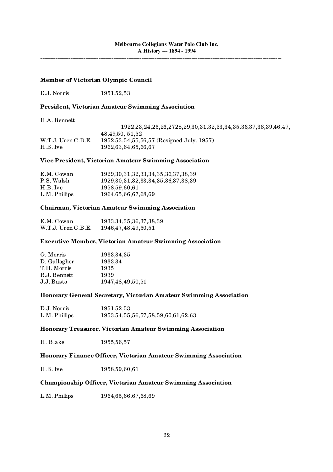**----------------------------------------------------------------------------------------------------------------**

# **Member of Victorian Olympic Council**

D.J. Norris 1951,52,53

# **President, Victorian Amateur Swimming Association**

H.A. Bennett

|                    | 1922, 23, 24, 25, 26, 2728, 29, 30, 31, 32, 33, 34, 35, 36, 37, 38, 39, 46, 47, |
|--------------------|---------------------------------------------------------------------------------|
|                    | 48.49.50, 51.52                                                                 |
| W.T.J. Uren C.B.E. | $1952,53,54,55,56,57$ (Resigned July, 1957)                                     |
| H.B. Ive           | 1962.63.64.65.66.67                                                             |

#### **Vice President, Victorian Amateur Swimming Association**

| E.M. Cowan    | 1929, 30, 31, 32, 33, 34, 35, 36, 37, 38, 39 |
|---------------|----------------------------------------------|
| P.S. Walsh    | 1929, 30, 31, 32, 33, 34, 35, 36, 37, 38, 39 |
| H.B. Ive      | 1958.59.60.61                                |
| L.M. Phillips | 1964, 65, 66, 67, 68, 69                     |

#### **Chairman, Victorian Amateur Swimming Association**

| E.M. Cowan         | 1933, 34, 35, 36, 37, 38, 39 |
|--------------------|------------------------------|
| W.T.J. Uren C.B.E. | 1946, 47, 48, 49, 50, 51     |

## **Executive Member, Victorian Amateur Swimming Association**

| 1933, 34, 35         |
|----------------------|
| 1933.34              |
| 1935                 |
| 1939                 |
| 1947, 48, 49, 50, 51 |
|                      |

## **Honorary General Secretary, Victorian Amateur Swimming Association**

| D.J. Norris   | 1951,52,53                                   |
|---------------|----------------------------------------------|
| L.M. Phillips | 1953, 54, 55, 56, 57, 58, 59, 60, 61, 62, 63 |

#### **Honorary Treasurer, Victorian Amateur Swimming Association**

| H. Blake | 1955, 56, 57 |
|----------|--------------|
|----------|--------------|

## **Honorary Finance Officer, Victorian Amateur Swimming Association**

H.B. Ive 1958,59,60,61

# **Championship Officer, Victorian Amateur Swimming Association**

L.M. Phillips 1964,65,66,67,68,69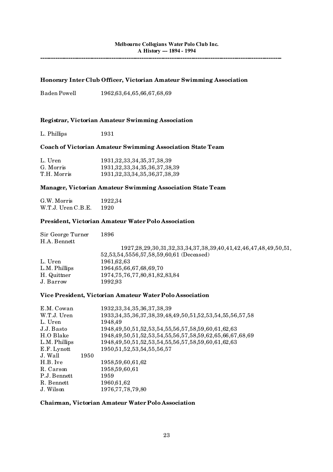**----------------------------------------------------------------------------------------------------------------**

# **Honorary Inter Club Officer, Victorian Amateur Swimming Association**

Baden Powell 1962,63,64,65,66,67,68,69

# **Registrar, Victorian Amateur Swimming Association**

L. Phillips 1931

# **Coach of Victorian Amateur Swimming Association State Team**

| L. Uren     | 1931, 32, 33, 34, 35, 37, 38, 39     |
|-------------|--------------------------------------|
| G. Morris   | 1931, 32, 33, 34, 35, 36, 37, 38, 39 |
| T.H. Morris | 1931, 32, 33, 34, 35, 36, 37, 38, 39 |

# **Manager, Victorian Amateur Swimming Association State Team**

| G.W. Morris        | 1922,34 |
|--------------------|---------|
| W.T.J. Uren C.B.E. | 1920    |

# **President, Victorian Amateur Water Polo Association**

| Sir George Turner<br>H.A. Bennett | 1896                                                                              |
|-----------------------------------|-----------------------------------------------------------------------------------|
|                                   | 1927, 28, 29, 30, 31, 32, 33, 34, 37, 38, 39, 40, 41, 42, 46, 47, 48, 49, 50, 51, |
|                                   | 52,53,54,5556,57,58,59,60,61 (Deceased)                                           |
| L. Uren                           | 1961, 62, 63                                                                      |
| L.M. Phillips                     | 1964, 65, 66, 67, 68, 69, 70                                                      |
| H. Quittner                       | 1974, 75, 76, 77, 80, 81, 82, 83, 84                                              |
| J. Barrow                         | 1992,93                                                                           |
|                                   |                                                                                   |

# **Vice President, Victorian Amateur Water Polo Association**

| E.M. Cowan      | 1932, 33, 34, 35, 36, 37, 38, 39                                         |
|-----------------|--------------------------------------------------------------------------|
| W.T.J. Uren     | 1933, 34, 35, 36, 37, 38, 39, 48, 49, 50, 51, 52, 53, 54, 55, 56, 57, 58 |
| L. Uren         | 1948,49                                                                  |
| J.J. Basto      | 1948, 49, 50, 51, 52, 53, 54, 55, 56, 57, 58, 59, 60, 61, 62, 63         |
| H.O Blake       | 1948,49,50,51,52,53,54,55,56,57,58,59,62,65,66,67,68,69                  |
| L.M. Phillips   | 1948, 49, 50, 51, 52, 53, 54, 55, 56, 57, 58, 59, 60, 61, 62, 63         |
| E.F. Lynott     | 1950, 51, 52, 53, 54, 55, 56, 57                                         |
| J. Wall<br>1950 |                                                                          |
| H.B. Ive        | 1958, 59, 60, 61, 62                                                     |
| R. Carson       | 1958, 59, 60, 61                                                         |
| P.J. Bennett    | 1959                                                                     |
| R. Bennett      | 1960,61,62                                                               |
| J. Wilson       | 1976, 77, 78, 79, 80                                                     |

# **Chairman, Victorian Amateur Water Polo Association**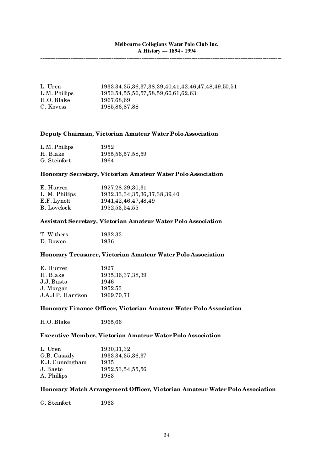| L. Uren       | 1933, 34, 35, 36, 37, 38, 39, 40, 41, 42, 46, 47, 48, 49, 50, 51 |
|---------------|------------------------------------------------------------------|
| L.M. Phillips | 1953, 54, 55, 56, 57, 58, 59, 60, 61, 62, 63                     |
| H.O. Blake    | 1967.68.69                                                       |
| C. Kovess     | 1985, 86, 87, 88                                                 |

## **Deputy Chairman, Victorian Amateur Water Polo Association**

| L.M. Phillips | 1952                 |
|---------------|----------------------|
| H. Blake      | 1955, 56, 57, 58, 59 |
| G. Steinfort  | 1964                 |

# **Honorary Secretary, Victorian Amateur Water Polo Association**

| E. Hurren      | 1927, 28.29, 30, 31                  |
|----------------|--------------------------------------|
| L. M. Phillips | 1932, 33, 34, 35, 36, 37, 38, 39, 40 |
| E.F. Lynott    | 1941, 42, 46, 47, 48, 49             |
| B. Lovelock    | 1952, 53, 54, 55                     |

# **Assistant Secretary, Victorian Amateur Water Polo Association**

| T. Withers | 1932,33 |
|------------|---------|
| D. Bowen   | 1936    |

# **Honorary Treasurer, Victorian Amateur Water Polo Association**

| E. Hurren         | 1927                 |
|-------------------|----------------------|
| H. Blake          | 1935, 36, 37, 38, 39 |
| J.J. Basto        | 1946                 |
| J. Morgan         | 1952,53              |
| J.A.J.P. Harrison | 1969,70,71           |
|                   |                      |

# **Honorary Finance Officer, Victorian Amateur Water Polo Association**

H.O. Blake 1965,66

# **Executive Member, Victorian Amateur Water Polo Association**

| L. Uren         | 1930, 31, 32         |
|-----------------|----------------------|
| G.B. Cassidy    | 1933, 34, 35, 36, 37 |
| E.J. Cunningham | 1935                 |
| J. Basto        | 1952, 53, 54, 55, 56 |
| A. Phillips     | 1983                 |
|                 |                      |

# **Honorary Match Arrangement Officer, Victorian Amateur Water Polo Association**

G. Steinfort 1963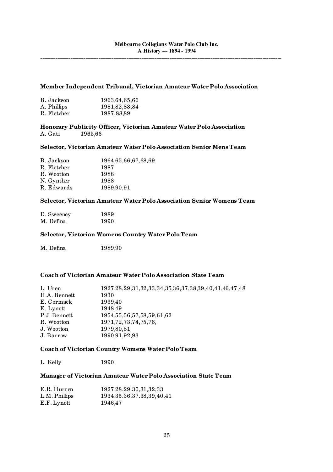## **Member Independent Tribunal, Victorian Amateur Water Polo Association**

| B. Jackson  | 1963, 64, 65, 66 |
|-------------|------------------|
| A. Phillips | 1981, 82, 83, 84 |
| R. Fletcher | 1987,88,89       |

**Honorary Publicity Officer, Victorian Amateur Water Polo Association** A. Gati 1965,66

# **Selector, Victorian Amateur Water Polo Association Senior Mens Team**

| B. Jackson  | 1964, 65, 66, 67, 68, 69 |
|-------------|--------------------------|
| R. Fletcher | 1987                     |
| R. Wootton  | 1988                     |
| N. Gynther  | 1988                     |
| R. Edwards  | 1989,90,91               |

# **Selector, Victorian Amateur Water Polo Association Senior Womens Team**

| D. Sweeney | 1989 |
|------------|------|
| M. Defina  | 1990 |

#### **Selector, Victorian Womens Country Water Polo Team**

M. Defina 1989,90

# **Coach of Victorian Amateur Water Polo Association State Team**

| L. Uren<br>H.A. Bennett<br>E. Cormack<br>E. Lynott<br>P.J. Bennett<br>R. Wootton<br>J. Wootton | 1927, 28, 29, 31, 32, 33, 34, 35, 36, 37, 38, 39, 40, 41, 46, 47, 48<br>1930<br>1939,40<br>1948,49<br>1954, 55, 56, 57, 58, 59, 61, 62<br>1971, 72, 73, 74, 75, 76,<br>1979,80,81 |
|------------------------------------------------------------------------------------------------|-----------------------------------------------------------------------------------------------------------------------------------------------------------------------------------|
| J. Barrow                                                                                      | 1990,91,92,93                                                                                                                                                                     |
|                                                                                                |                                                                                                                                                                                   |

# **Coach of Victorian Country Womens Water Polo Team**

L. Kelly 1990

# **Manager of Victorian Amateur Water Polo Association State Team**

| E.R. Hurren   | 1927.28.29.30,31,32,33    |
|---------------|---------------------------|
| L.M. Phillips | 1934.35.36.37.38,39,40,41 |
| E.F. Lynott   | 1946,47                   |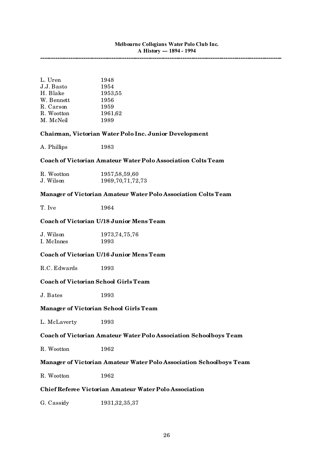**----------------------------------------------------------------------------------------------------------------**

| L. Uren    | 1948    |
|------------|---------|
| J.J. Basto | 1954    |
| H. Blake   | 1953,55 |
| W. Bennett | 1956    |
| R. Carson  | 1959    |
| R. Wootton | 1961,62 |
| M. McNeil  | 1989    |
|            |         |

## **Chairman, Victorian Water Polo Inc. Junior Development**

A. Phillips 1983

#### **Coach of Victorian Amateur Water Polo Association Colts Team**

| R. Wootton | 1957, 58, 59, 60     |
|------------|----------------------|
| J. Wilson  | 1969, 70, 71, 72, 73 |

# **Manager of Victorian Amateur Water Polo Association Colts Team**

T. Ive 1964

# **Coach of Victorian U/18 Junior Mens Team**

| J. Wilson  | 1973, 74, 75, 76 |
|------------|------------------|
| I. McInnes | 1993             |

# **Coach of Victorian U/16 Junior Mens Team**

R.C. Edwards 1993

# **Coach of Victorian School Girls Team**

J. Bates 1993

#### **Manager of Victorian School Girls Team**

L. McLaverty 1993

# **Coach of Victorian Amateur Water Polo Association Schoolboys Team**

R. Wootton 1962

## **Manager of Victorian Amateur Water Polo Association Schoolboys Team**

R. Wootton 1962

# **Chief Referee Victorian Amateur Water Polo Association**

G. Cassidy 1931,32,35,37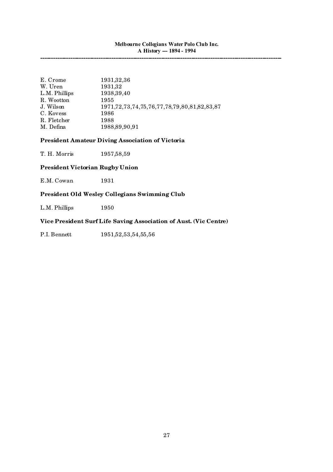**----------------------------------------------------------------------------------------------------------------**

| E. Crome      | 1931, 32, 36                                             |
|---------------|----------------------------------------------------------|
| W. Uren       | 1931,32                                                  |
| L.M. Phillips | 1938, 39, 40                                             |
| R. Wootton    | 1955                                                     |
| J. Wilson     | 1971, 72, 73, 74, 75, 76, 77, 78, 79, 80, 81, 82, 83, 87 |
| C. Kovess     | 1986                                                     |
| R. Fletcher   | 1988                                                     |
| M. Defina     | 1988, 89, 90, 91                                         |

# **President Amateur Diving Association of Victoria**

T. H. Morris 1957,58,59

# **President Victorian Rugby Union**

E.M. Cowan 1931

# **President Old Wesley Collegians Swimming Club**

L.M. Phillips 1950

# **Vice President Surf Life Saving Association of Aust. (Vic Centre)**

P.I. Bennett 1951,52,53,54,55,56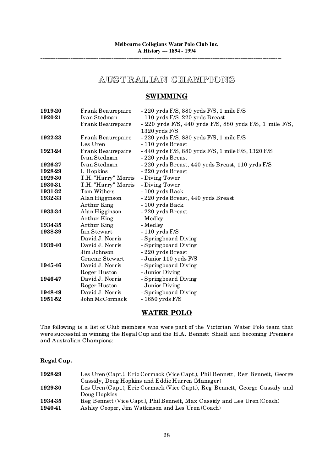# **AUST RAL IAN CHAMPIONS**

# **SWIMMING**

| Frank Beaurepaire   | $-220$ yrds $F/S$ , 880 yrds $F/S$ , 1 mile $F/S$                                                                               |
|---------------------|---------------------------------------------------------------------------------------------------------------------------------|
| Ivan Stedman        | - 110 yrds F/S, 220 yrds Breast                                                                                                 |
| Frank Beaurepaire   | - 220 yrds F/S, 440 yrds F/S, 880 yrds F/S, 1 mile F/S,                                                                         |
|                     | $1320$ yrds $F/S$                                                                                                               |
| Frank Beaurepaire   | $-220$ yrds $F/S$ , 880 yrds $F/S$ , 1 mile $F/S$                                                                               |
| Les Uren            | - 110 yrds Breast                                                                                                               |
| Frank Beaurepaire   | - 440 yrds F/S, 880 yrds F/S, 1 mile F/S, 1320 F/S                                                                              |
| Ivan Stedman        | - 220 yrds Breast                                                                                                               |
| Ivan Stedman        | - 220 yrds Breast, 440 yrds Breast, 110 yrds F/S                                                                                |
|                     | - 220 yrds Breast                                                                                                               |
| T.H. "Harry" Morris | - Diving Tower                                                                                                                  |
| T.H. "Harry" Morris | - Diving Tower                                                                                                                  |
| Tom Withers         | - 100 yrds Back                                                                                                                 |
| Alan Higginson      | - 220 yrds Breast, 440 yrds Breast                                                                                              |
|                     | - 100 yrds Back                                                                                                                 |
|                     | - 220 yrds Breast                                                                                                               |
|                     | - Medley                                                                                                                        |
|                     | - Medley                                                                                                                        |
| Ian Stewart         | $-110$ yrds $F/S$                                                                                                               |
| David J. Norris     | - Springboard Diving                                                                                                            |
| David J. Norris     | - Springboard Diving                                                                                                            |
| Jim Johnson         | - 220 yrds Breast                                                                                                               |
| Graeme Stewart      | - Junior 110 yrds F/S                                                                                                           |
|                     | - Springboard Diving                                                                                                            |
|                     | - Junior Diving                                                                                                                 |
|                     | - Springboard Diving                                                                                                            |
| Roger Huston        | - Junior Diving                                                                                                                 |
| David J. Norris     | - Springboard Diving                                                                                                            |
| John McCormack      | $-1650$ yrds $F/S$                                                                                                              |
|                     | I. Hopkins<br>Arthur King<br>Alan Higginson<br>Arthur King<br>Arthur King<br>David J. Norris<br>Roger Huston<br>David J. Norris |

# **WATER POLO**

The following is a list of Club members who were part of the Victorian Water Polo team that were successful in winning the Regal Cup and the H.A. Bennett Shield and becoming Premiers and Australian Champions:

# **Regal Cup.**

| 1928-29 | Les Uren (Capt.), Eric Cormack (Vice Capt.), Phil Bennett, Reg Bennett, George |
|---------|--------------------------------------------------------------------------------|
|         | Cassidy, Doug Hopkins and Eddie Hurren (Manager)                               |
| 1929-30 | Les Uren (Capt.), Eric Cormack (Vice Capt.), Reg Bennett, George Cassidy and   |
|         | Doug Hopkins                                                                   |
| 1934-35 | Reg Bennett (Vice Capt.), Phil Bennett, Max Cassidy and Les Uren (Coach)       |
| 194041  | Ashley Cooper, Jim Watkinson and Les Uren (Coach)                              |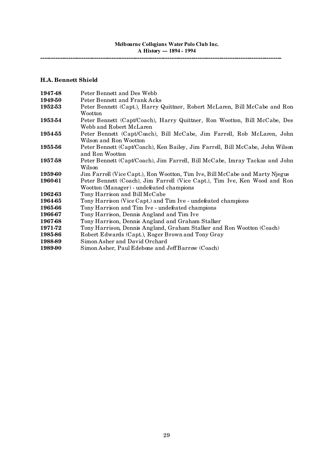# **H.A. Bennett Shield**

| 194748  | Peter Bennett and Des Webb                                                    |
|---------|-------------------------------------------------------------------------------|
| 194950  | Peter Bennett and Frank Acks                                                  |
| 1952-53 | Peter Bennett (Capt.), Harry Quittner, Robert McLaren, Bill McCabe and Ron    |
|         | Wootton                                                                       |
| 1953-54 | Peter Bennett (Capt/Coach), Harry Quittner, Ron Wootton, Bill McCabe, Des     |
|         | Webb and Robert McLaren                                                       |
| 195455  | Peter Bennett (Capt/Coach), Bill McCabe, Jim Farrell, Rob McLaren, John       |
|         | Wilson and Ron Wootton                                                        |
| 1955-56 | Peter Bennett (Capt/Coach), Ken Bailey, Jim Farrell, Bill McCabe, John Wilson |
|         | and Ron Wootton                                                               |
| 1957-58 | Peter Bennett (Capt/Coach), Jim Farrell, Bill McCabe, Imray Tackas and John   |
|         | Wilson                                                                        |
| 1959-60 | Jim Farrell (Vice Capt.), Ron Wootton, Tim Ive, Bill McCabe and Marty Njegus  |
| 1960-61 | Peter Bennett (Coach), Jim Farrell (Vice Capt.), Tim Ive, Ken Wood and Ron    |
|         | Wootton (Manager) - undefeated champions                                      |
| 1962-63 | Tony Harrison and Bill McCabe                                                 |
| 1964-65 | Tony Harrison (Vice Capt.) and Tim Ive - undefeated champions                 |
| 1965-66 | Tony Harrison and Tim Ive - undefeated champions                              |
| 1966-67 | Tony Harrison, Dennis Angland and Tim Ive                                     |
| 1967-68 | Tony Harrison, Dennis Angland and Graham Stalker                              |
| 1971-72 | Tony Harrison, Dennis Angland, Graham Stalker and Ron Wootton (Coach)         |
| 1985-86 | Robert Edwards (Capt.), Roger Brown and Tony Gray                             |
| 1988-89 | Simon Asher and David Orchard                                                 |
| 1989-90 | Simon Asher, Paul Edebone and Jeff Barrow (Coach)                             |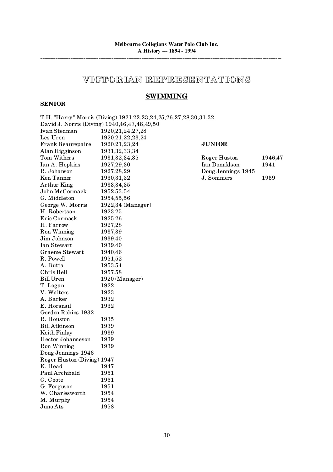# **VICTORIAN REPRESENTAT IONS**

# **SWIMMING**

# **SENIOR**

|                            | T.H. "Harry" Morris (Diving) 1921,22,23,24,25,26,27,28,30,31,32 |                    |         |
|----------------------------|-----------------------------------------------------------------|--------------------|---------|
|                            | David J. Norris (Diving) 1940,46,47,48,49,50                    |                    |         |
| Ivan Stedman               | 1920, 21, 24, 27, 28                                            |                    |         |
| Les Uren                   | 1920, 21, 22, 23, 24                                            |                    |         |
| Frank Beaurepaire          | 1920, 21, 23, 24                                                | <b>JUNIOR</b>      |         |
| Alan Higginson             | 1931, 32, 33, 34                                                |                    |         |
| Tom Withers                | 1931, 32, 34, 35                                                | Roger Huston       | 1946,47 |
| Ian A. Hopkins             | 1927, 29, 30                                                    | Ian Donaldson      | 1941    |
| R. Johanson                | 1927, 28, 29                                                    | Doug Jennings 1945 |         |
| Ken Tanner                 | 1930, 31, 32                                                    | J. Sommers         | 1959    |
| Arthur King                | 1933, 34, 35                                                    |                    |         |
| John McCormack             | 1952,53,54                                                      |                    |         |
| G. Middleton               | 1954,55,56                                                      |                    |         |
| George W. Morris           | 1922,34 (Manager)                                               |                    |         |
| H. Robertson               | 1923,25                                                         |                    |         |
| Eric Cormack               | 1925,26                                                         |                    |         |
| H. Farrow                  | 1927,28                                                         |                    |         |
| Ron Winning                | 1937,39                                                         |                    |         |
| Jim Johnson                | 1939,40                                                         |                    |         |
| Ian Stewart                | 1939,40                                                         |                    |         |
| Graeme Stewart             | 1940,46                                                         |                    |         |
| R. Powell                  | 1951,52                                                         |                    |         |
| A. Butta                   | 1953,54                                                         |                    |         |
| Chris Bell                 | 1957,58                                                         |                    |         |
| <b>Bill Uren</b>           | 1920 (Manager)                                                  |                    |         |
| T. Logan                   | 1922                                                            |                    |         |
| V. Walters                 | 1923                                                            |                    |         |
| A. Barker                  | 1932                                                            |                    |         |
| E. Horsnail                | 1932                                                            |                    |         |
| Gordon Robins 1932         |                                                                 |                    |         |
| R. Houston                 | 1935                                                            |                    |         |
| <b>Bill Atkinson</b>       | 1939                                                            |                    |         |
| Keith Finlay               | 1939                                                            |                    |         |
| Hector Johanneson          | 1939                                                            |                    |         |
| Ron Winning                | 1939                                                            |                    |         |
| Doug Jennings 1946         |                                                                 |                    |         |
| Roger Huston (Diving) 1947 |                                                                 |                    |         |
| K. Head 1947               |                                                                 |                    |         |
| Paul Archibald             | 1951                                                            |                    |         |
| G. Coote                   | 1951                                                            |                    |         |
| G. Ferguson                | 1951                                                            |                    |         |
| W. Charlesworth            | 1954                                                            |                    |         |
| M. Murphy                  | 1954                                                            |                    |         |
| Juno Ats                   | 1958                                                            |                    |         |
|                            |                                                                 |                    |         |

# $UNIOR$

| Roger Huston       | 1946,47 |
|--------------------|---------|
| Ian Donaldson      | 1941    |
| Doug Jennings 1945 |         |
| J. Sommers         | 1959    |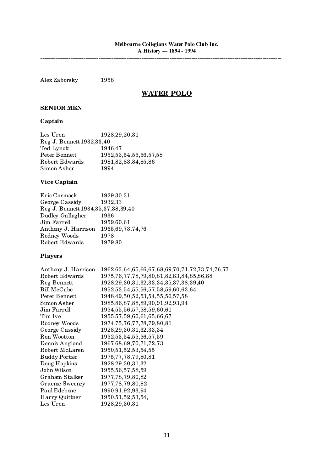Alex Zaborsky 1958

# **WATER POLO**

# **SENIOR MEN**

# **Captain**

| Les Uren                    | 1928, 29, 20, 31             |
|-----------------------------|------------------------------|
| Reg J. Bennett 1932, 33, 40 |                              |
| Ted Lynott                  | 1946,47                      |
| Peter Bennett               | 1952, 53, 54, 55, 56, 57, 58 |
| Robert Edwards              | 1981, 82, 83, 84, 85, 86     |
| Simon Asher                 | 1994                         |

# **Vice Captain**

| Eric Cormack                            | 1929, 30, 31         |
|-----------------------------------------|----------------------|
| George Cassidy                          | 1932,33              |
| Reg J. Bennett 1934, 35, 37, 38, 39, 40 |                      |
| Dudley Gallagher                        | 1936                 |
| Jim Farrell                             | 1959,60,61           |
| Anthony J. Harrison                     | 1965, 69, 73, 74, 76 |
| Rodney Woods                            | 1978                 |
| Robert Edwards                          | 1979,80              |

# **Players**

| Anthony J. Harrison  | 1962, 63, 64, 65, 66, 67, 68, 69, 70, 71, 72, 73, 74, 76, 77 |
|----------------------|--------------------------------------------------------------|
| Robert Edwards       | 1975, 76, 77, 78, 79, 80, 81, 82, 83, 84, 85, 86, 88         |
| Reg Bennett          | 1928, 29, 30, 31, 32, 33, 34, 35, 37, 38, 39, 40             |
| Bill McCabe          | 1952, 53, 54, 55, 56, 57, 58, 59, 60, 63, 64                 |
| Peter Bennett        | 1948, 49, 50, 52, 53, 54, 55, 56, 57, 58                     |
| Simon Asher          | 1985, 86, 87, 88, 89, 90, 91, 92, 93, 94                     |
| Jim Farrell          | 1954, 55, 56, 57, 58, 59, 60, 61                             |
| Tim Ive              | 1955, 57, 59, 60, 61, 65, 66, 67                             |
| Rodney Woods         | 1974, 75, 76, 77, 78, 79, 80, 81                             |
| George Cassidy       | 1928, 29, 30, 31, 32, 33, 34                                 |
| Ron Wootton          | 1952, 53, 54, 55, 56, 57, 59                                 |
| Dennis Angland       | 1967, 68, 69, 70, 71, 72, 73                                 |
| Robert McLaren       | 1950, 51, 52, 53, 54, 55                                     |
| <b>Buddy Portier</b> | 1975, 77, 78, 79, 80, 81                                     |
| Doug Hopkins         | 1928, 29, 30, 31, 32                                         |
| John Wilson          | 1955, 56, 57, 58, 59                                         |
| Graham Stalker       | 1977, 78, 79, 80, 82                                         |
| Graeme Sweeney       | 1977, 78, 79, 80, 82                                         |
| Paul Edebone         | 1990,91,92,93,94                                             |
| Harry Quittner       | 1950, 51, 52, 53, 54,                                        |
| Les Uren             | 1928, 29, 30, 31                                             |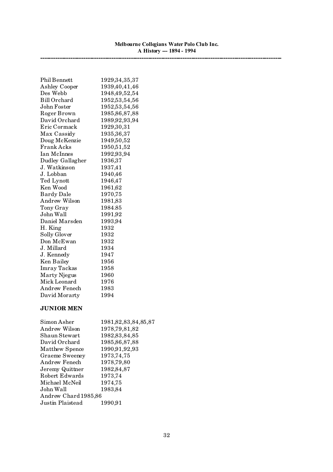**----------------------------------------------------------------------------------------------------------------**

| <b>Phil Bennett</b> | 1929, 34, 35, 37 |
|---------------------|------------------|
| Ashley Cooper       | 1939,40,41,46    |
| Des Webb            | 1948, 49, 52, 54 |
| <b>Bill Orchard</b> | 1952, 53, 54, 56 |
| John Foster         | 1952, 53, 54, 56 |
| Roger Brown         | 1985, 86, 87, 88 |
| David Orchard       | 1989, 92, 93, 94 |
| Eric Cormack        | 1929,30,31       |
| Max Cassidy         | 1935, 36, 37     |
| Doug McKenzie       | 1949,50,52       |
| <b>Frank Acks</b>   | 1950,51,52       |
| Ian McInnes         | 1992,93,94       |
| Dudley Gallagher    | 1936,37          |
| J. Watkinson        | 1937,41          |
| J. Lobban           | 1940,46          |
| Ted Lynott          | 1946,47          |
| Ken Wood            | 1961,62          |
| <b>Bardy Dale</b>   | 1970,75          |
| Andrew Wilson       | 1981,83          |
| Tony Gray           | 1984.85          |
| John Wall           | 1991,92          |
| Daniel Marsden      | 1993,94          |
| H. King             | 1932             |
| Solly Glover        | 1932             |
| Don McEwan          | 1932             |
| J. Millard          | 1934             |
| J. Kennedy          | 1947             |
| Ken Bailey          | 1956             |
| <b>Imray Tackas</b> | 1958             |
| Marty Njegus        | 1960             |
| Mick Leonard        | 1976             |
| Andrew Fenech       | 1983             |
| David Morarty       | 1994             |
|                     |                  |

# **JUNIOR MEN**

| Simon Asher           | 1981, 82, 83, 84, 85, 87 |
|-----------------------|--------------------------|
| Andrew Wilson         | 1978, 79, 81, 82         |
| Shaun Stewart         | 1982, 83, 84, 85         |
| David Orchard         | 1985, 86, 87, 88         |
| Matthew Spence        | 1990,91,92,93            |
| <b>Graeme Sweeney</b> | 1973, 74, 75             |
| Andrew Fenech         | 1978,79,80               |
| Jeremy Quittner       | 1982,84,87               |
| Robert Edwards        | 1973,74                  |
| Michael McNeil        | 1974,75                  |
| John Wall             | 1983,84                  |
| Andrew Chard 1985,86  |                          |
| Justin Plaistead      | 1990,91                  |
|                       |                          |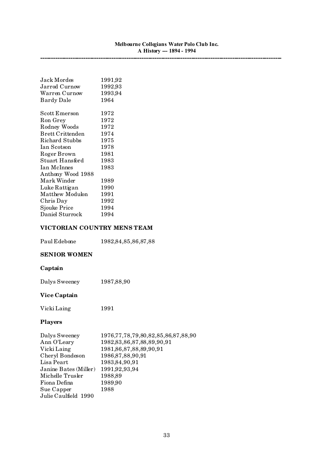**----------------------------------------------------------------------------------------------------------------**

| Jack Mordes                                                      | 1991,92 |
|------------------------------------------------------------------|---------|
| Jarrod Curnow                                                    | 1992,93 |
| Warren Curnow                                                    | 1993,94 |
| Bardy Dale                                                       | 1964    |
| $\operatorname{Scott}$ $\operatorname{E}{\operatorname{merson}}$ | 1972    |
|                                                                  |         |
| Ron Grey                                                         | 1972    |
| Rodney Woods                                                     | 1972    |
| <b>Brett Crittenden</b>                                          | 1974    |
| Richard Stubbs                                                   | 1975    |
| Ian Scotson                                                      | 1978    |
| Roger Brown                                                      | 1981    |
| Stuart Hansford                                                  | 1983    |
| Ian McInnes                                                      | 1983    |
| Anthony Wood 1988                                                |         |
| Mark Winder                                                      | 1989    |
| Luke Rattigan                                                    | 1990    |
| Matthew Modulon                                                  | 1991    |
| Chris Day                                                        | 1992    |
| <b>Sjouke Price</b>                                              | 1994    |
| Daniel Sturrock                                                  | 1994    |

# **VICTORIAN COUNTRY MENS TEAM**

| Paul Edebone | 1982, 84, 85, 86, 87, 88 |
|--------------|--------------------------|
|--------------|--------------------------|

# **SENIOR WOMEN**

# **Captain**

Dalys Sweeney 1987,88,90

# **Vice Captain**

| Vicki Laing | 1991 |
|-------------|------|
|             |      |

# **Players**

| 1976, 77, 78, 79, 80, 82, 85, 86, 87, 88, 90 |
|----------------------------------------------|
| 1982, 83, 86, 87, 88, 89, 90, 91             |
| 1981, 86, 87, 88, 89, 90, 91                 |
| 1986, 87, 88, 90, 91                         |
| 1983, 84, 90, 91                             |
| 1991, 92, 93, 94                             |
| 1988,89                                      |
| 1989,90                                      |
| 1988                                         |
|                                              |
|                                              |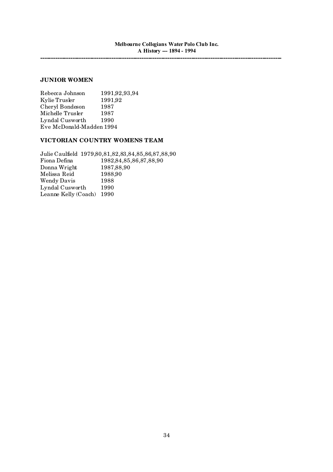# **JUNIOR WOMEN**

Rebecca Johnson 1991,92,93,94 Kylie Trusler 1991,92 Cheryl Bondeson 1987 Michelle Trusler 1987 Lyndal Cusworth 1990 Eve McDonald-Madden 1994

## **VICTORIAN COUNTRY WOMENS TEAM**

Julie Caulfield 1979,80,81,82,83,84,85,86,87,88,90 Fiona Defina 1982,84,85,86,87,88,90 Donna Wright 1987,88,90 Melissa Reid 1988,90 Wendy Davis 1988 Lyndal Cusworth 1990 Leanne Kelly (Coach) 1990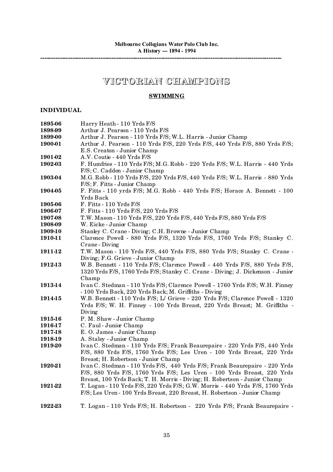# **VICTORIAN CHAMPIONS**

# **SWIMMING**

# **INDIVIDUAL**

| 1895-06        | Harry Heath - 110 Yrds F/S                                                     |
|----------------|--------------------------------------------------------------------------------|
| 1898-99        | Arthur J. Pearson - 110 Yrds F/S                                               |
| 1899-00        | Arthur J. Pearson - 110 Yrds F/S; W.L. Harris - Junior Champ                   |
| 1900-01        | Arthur J. Pearson - 110 Yrds F/S, 220 Yrds F/S, 440 Yrds F/S, 880 Yrds F/S;    |
|                | E.S. Creaton - Junior Champ                                                    |
| 1901-02        | A.V. Coutie - 440 Yrds F/S                                                     |
| 1902-03        | F. Humfries - 110 Yrds F/S; M.G. Robb - 220 Yrds F/S; W.L. Harris - 440 Yrds   |
|                | F/S; C. Cadden - Junior Champ                                                  |
| 1903-04        | M.G. Robb - 110 Yrds F/S, 220 Yrds F/S, 440 Yrds F/S; W.L. Harris - 880 Yrds   |
|                | F/S; F. Fitts - Junior Champ                                                   |
| 1904-05        | F. Fitts - 110 yrds F/S; M.G. Robb - 440 Yrds F/S; Horace A. Bennett - 100     |
|                | Yrds Back                                                                      |
| 1905-06        | F. Fitts - 110 Yrds F/S                                                        |
| 1906-07        | F. Fitts - 110 Yrds F/S, 220 Yrds F/S                                          |
| 1907-08        | T.W. Mason - 110 Yrds F/S, 220 Yrds F/S, 440 Yrds F/S, 880 Yrds F/S            |
|                | W. Eicke - Junior Champ                                                        |
| 1908-09        |                                                                                |
| <b>1909-10</b> | Stanley C. Crane - Diving; C.H. Browne - Junior Champ                          |
| 1910-11        | Clarence Powell - 880 Yrds F/S, 1320 Yrds F/S, 1760 Yrds F/S; Stanley C.       |
|                | Crane - Diving                                                                 |
| 1911-12        | T.W. Mason - 110 Yrds F/S, 440 Yrds F/S, 880 Yrds F/S; Stanley C. Crane -      |
|                | Diving; F.G. Grieve - Junior Champ                                             |
| 1912-13        | W.B. Bennett - 110 Yrds F/S; Clarence Powell - 440 Yrds F/S, 880 Yrds F/S,     |
|                | 1320 Yrds F/S, 1760 Yrds F/S; Stanley C. Crane - Diving; J. Dickenson - Junior |
|                | Champ                                                                          |
| 1913-14        | Ivan C. Stedman - 110 Yrds F/S; Clarence Powell - 1760 Yrds F/S; W.H. Finney   |
|                | - 100 Yrds Back, 220 Yrds Back; M. Griffiths - Diving                          |
| 1914-15        | W.B. Bennett - 110 Yrds F/S; L/ Grieve - 220 Yrds F/S; Clarence Powell - 1320  |
|                | Yrds F/S; W. H. Finney - 100 Yrds Breast, 220 Yrds Breast; M. Griffiths -      |
|                | Diving                                                                         |
| <b>1915-16</b> | P. M. Shaw - Junior Champ                                                      |
| 1916-17        | C. Faul - Junior Champ                                                         |
| 1917-18        | E.O. James - Junior Champ                                                      |
| 1918-19        | A. Staley - Junior Champ                                                       |
| 1919-20        | Ivan C. Stedman - 110 Yrds F/S; Frank Beaurepaire - 220 Yrds F/S, 440 Yrds     |
|                | F/S, 880 Yrds F/S, 1760 Yrds F/S; Les Uren - 100 Yrds Breast, 220 Yrds         |
|                | Breast; H. Robertson - Junior Champ                                            |
| 1920-21        | Ivan C. Stedman - 110 Yrds F/S, 440 Yrds F/S; Frank Beaurepaire - 220 Yrds     |
|                | F/S, 880 Yrds F/S, 1760 Yrds F/S; Les Uren - 100 Yrds Breast, 220 Yrds         |
|                | Breast, 100 Yrds Back; T. H. Morris - Diving; H. Robertson - Junior Champ      |
| 1921-22        | T. Logan - 110 Yrds F/S, 220 Yrds F/S; G.W. Morris - 440 Yrds F/S, 1760 Yrds   |
|                | F/S; Les Uren - 100 Yrds Breast, 220 Breast, H. Robertson - Junior Champ       |
|                |                                                                                |
| 1922-23        | T. Logan - 110 Yrds F/S; H. Robertson - 220 Yrds F/S; Frank Beaurepaire -      |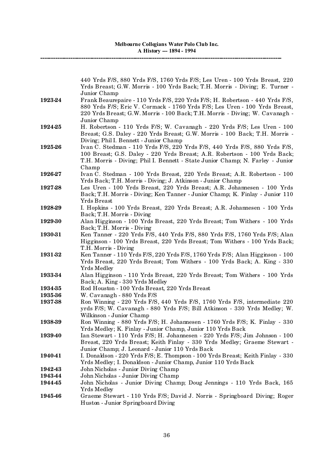|         | 440 Yrds F/S, 880 Yrds F/S, 1760 Yrds F/S; Les Uren - 100 Yrds Breast, 220                         |
|---------|----------------------------------------------------------------------------------------------------|
|         | Yrds Breast; G.W. Morris - 100 Yrds Back; T.H. Morris - Diving; E. Turner -                        |
|         | Junior Champ                                                                                       |
| 1923-24 | Frank Beaurepaire - 110 Yrds F/S, 220 Yrds F/S; H. Robertson - 440 Yrds F/S,                       |
|         | 880 Yrds F/S; Eric V. Cormack - 1760 Yrds F/S; Les Uren - 100 Yrds Breast,                         |
|         | 220 Yrds Breast; G.W. Morris - 100 Back; T.H. Morris - Diving; W. Cavanagh -                       |
|         | Junior Champ                                                                                       |
| 1924-25 | H. Robertson - 110 Yrds F/S; W. Cavanagh - 220 Yrds F/S; Les Uren - 100                            |
|         | Breast; G.S. Daley - 220 Yrds Breast; G.W. Morris - 100 Back; T.H. Morris -                        |
|         | Diving; Phil I. Bennett - Junior Champ                                                             |
| 1925-26 | Ivan C. Stedman - 110 Yrds F/S, 220 Yrds F/S, 440 Yrds F/S, 880 Yrds F/S,                          |
|         | 100 Breast; G.S. Daley - 220 Yrds Breast; A.R. Robertson - 100 Yrds Back;                          |
|         | T.H. Morris - Diving; Phil I. Bennett - State Junior Champ; N. Farley - Junior                     |
|         | Champ                                                                                              |
| 1926-27 | Ivan C. Stedman - 100 Yrds Breast, 220 Yrds Breast; A.R. Robertson - 100                           |
|         | Yrds Back; T.H. Morris - Diving; J. Atkinson - Junior Champ                                        |
| 1927-28 | Les Uren - 100 Yrds Breast, 220 Yrds Breast; A.R. Johannesen - 100 Yrds                            |
|         | Back; T.H. Morris - Diving; Ken Tanner - Junior Champ; K. Finlay - Junior 110                      |
|         | Yrds Breast                                                                                        |
| 1928-29 | I. Hopkins - 100 Yrds Breast, 220 Yrds Breast; A.R. Johannesen - 100 Yrds                          |
|         | Back; T.H. Morris - Diving                                                                         |
| 1929-30 | Alan Higginson - 100 Yrds Breast, 220 Yrds Breast; Tom Withers - 100 Yrds                          |
|         | Back; T.H. Morris - Diving                                                                         |
| 1930-31 | Ken Tanner - 220 Yrds F/S, 440 Yrds F/S, 880 Yrds F/S, 1760 Yrds F/S; Alan                         |
|         | Higginson - 100 Yrds Breast, 220 Yrds Breast; Tom Withers - 100 Yrds Back;<br>T.H. Morris - Diving |
| 1931-32 | Ken Tanner - 110 Yrds F/S, 220 Yrds F/S, 1760 Yrds F/S; Alan Higginson - 100                       |
|         | Yrds Breast, 220 Yrds Breast; Tom Withers - 100 Yrds Back; A. King - 330                           |
|         | Yrds Medley                                                                                        |
| 193334  | Alan Higginson - 110 Yrds Breast, 220 Yrds Breast; Tom Withers - 100 Yrds                          |
|         | Back; A. King - 330 Yrds Medley                                                                    |
| 193435  | Rod Houston - 100 Yrds Breast, 220 Yrds Breast                                                     |
| 1935-36 | W. Cavanagh - 880 Yrds F/S                                                                         |
| 1937-38 | Ron Winning - 220 Yrds F/S, 440 Yrds F/S, 1760 Yrds F/S, intermediate 220                          |
|         | yrds F/S; W. Cavanagh - 880 Yrds F/S; Bill Atkinson - 330 Yrds Medley; W.                          |
|         | Wilkinson - Junior Champ                                                                           |
| 1938-39 | Ron Winning - 880 Yrds F/S; H. Johannesen - 1760 Yrds F/S; K. Finlay - 330                         |
|         | Yrds Medley; K. Finlay - Junior Champ, Junior 110 Yrds Back                                        |
| 193940  | Ian Stewart - 110 Yrds F/S; H. Johannesen - 220 Yrds F/S; Jim Johnson - 100                        |
|         | Breast, 220 Yrds Breast; Keith Finlay - 330 Yrds Medley; Graeme Stewart -                          |
|         | Junior Champ; J. Leonard - Junior 110 Yrds Back                                                    |
| 194041  | I. Donaldson - 220 Yrds F/S; E. Thompson - 100 Yrds Breast; Keith Finlay - 330                     |
|         | Yrds Medley; I. Donaldson - Junior Champ, Junior 110 Yrds Back                                     |
| 194243  | John Nicholas - Junior Diving Champ                                                                |
| 194344  | John Nicholas - Junior Diving Champ                                                                |
| 194445  | John Nicholas - Junior Diving Champ; Doug Jennings - 110 Yrds Back, 165                            |
|         | Yrds Medley                                                                                        |
| 194546  | Graeme Stewart - 110 Yrds F/S; David J. Norris - Springboard Diving; Roger                         |
|         | Huston - Junior Springboard Diving                                                                 |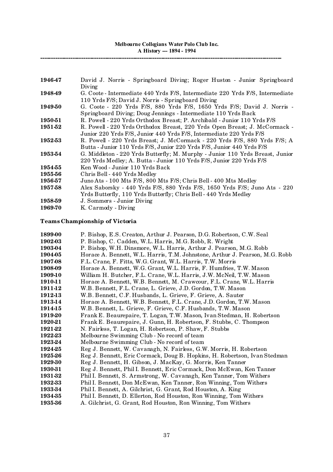**----------------------------------------------------------------------------------------------------------------**

| 194647  | David J. Norris - Springboard Diving; Roger Huston - Junior Springboard<br>Diving                                                                     |
|---------|-------------------------------------------------------------------------------------------------------------------------------------------------------|
| 194849  | G. Coote - Intermediate 440 Yrds F/S, Intermediate 220 Yrds F/S, Intermediate<br>110 Yrds F/S; David J. Norris - Springboard Diving                   |
| 194950  | G. Coote - 220 Yrds F/S, 880 Yrds F/S, 1650 Yrds F/S; David J. Norris -<br>Springboard Diving; Doug Jennings - Intermediate 110 Yrds Back             |
| 1950-51 | R. Powell - 220 Yrds Orthodox Breast; P. Archibald - Junior 110 Yrds F/S                                                                              |
| 1951-52 | R. Powell - 220 Yrds Orthodox Breast, 220 Yrds Open Breast; J. McCormack -<br>Junior 220 Yrds F/S, Junior 440 Yrds F/S, Intermediate 220 Yrds F/S     |
| 1952-53 | R. Powell - 220 Yrds Breast; J. McCormack - 220 Yrds F/S, 880 Yrds F/S; A<br>Butta - Junior 110 Yrds F/S, Junior 220 Yrds F/S, Junior 440 Yrds F/S    |
| 1953-54 | G. Middleton - 220 Yrds Butterfly; M. Murphy - Junior 110 Yrds Breast, Junior<br>220 Yrds Medley; A. Butta - Junior 110 Yrds F/S, Junior 220 Yrds F/S |
| 195455  | Ken Wood - Junior 110 Yrds Back                                                                                                                       |
| 1955-56 | Chris Bell - 440 Yrds Medley                                                                                                                          |
| 1956-57 | Juno Ats - 100 Mts F/S, 800 Mts F/S; Chris Bell - 400 Mts Medley                                                                                      |
| 1957-58 | Alex Saborsky - 440 Yrds F/S, 880 Yrds F/S, 1650 Yrds F/S; Juno Ats - 220<br>Yrds Butterfly, 110 Yrds Butterfly; Chris Bell - 440 Yrds Medley         |
| 1958-59 | J. Sommers - Junior Diving                                                                                                                            |
| 1969-70 | K. Carmody - Diving                                                                                                                                   |

# **Teams Championship of Victoria**

| 1899-00 | P. Bishop, E.S. Creaton, Arthur J. Pearson, D.G. Robertson, C.W. Seal        |
|---------|------------------------------------------------------------------------------|
| 1902-03 | P. Bishop, C. Cadden, W.L. Harris, M.G. Robb, R. Wright                      |
| 1903-04 | P. Bishop, W.H. Dinsmore, W.L. Harris, Arthur J. Pearson, M.G. Robb          |
| 1904-05 | Horace A. Bennett, W.L. Harris, T.M. Johnstone, Arthur J. Pearson, M.G. Robb |
| 1907-08 | F.L. Crane, F. Fitts, W.G. Grant, W.L. Harris, T.W. Morris                   |
| 1908-09 | Horace A. Bennett, W.G. Grant, W.L. Harris, F. Humfries, T.W. Mason          |
| 1909-10 | William H. Butcher, F.L. Crane, W.L. Harris, J.W. McNeil, T.W. Mason         |
| 1910-11 | Horace A. Bennett, W.B. Bennett, M. Crawcour, F.L. Crane, W.L. Harris        |
| 1911-12 | W.B. Bennett, F.L. Crane, L. Grieve, J.D. Gordon, T.W. Mason                 |
| 1912-13 | W.B. Bennett, C.F. Husbands, L. Grieve, F. Grieve, A. Sauter                 |
| 1913-14 | Horace A. Bennett, W.B. Bennett, F.L. Crane, J.D. Gordon, T.W. Mason         |
| 1914-15 | W.B. Bennett, L. Grieve, F. Grieve, C.F. Husbands, T.W. Mason                |
| 1919-20 | Frank E. Beaurepaire, T. Logan, T.W. Mason, Ivan Stedman, H. Robertson       |
| 1920-21 | Frank E. Beaurepaire, J. Gunn, H. Robertson, F. Stubbs, C. Thompson          |
| 1921-22 | N. Fairless, T. Logan, H. Robertson, P. Shaw, F. Stubbs                      |
| 1922-23 | Melbourne Swimming Club - No record of team                                  |
| 1923-24 | Melbourne Swimming Club - No record of team                                  |
| 1924-25 | Reg J. Bennett, W. Cavanagh, N. Fairless, G.W. Morris, H. Robertson          |
| 1925-26 | Reg J. Bennett, Eric Cormack, Doug B. Hopkins, H. Robertson, Ivan Stedman    |
| 1929-30 | Reg J. Bennett, H. Gibson, J. MacKay, G. Morris, Ken Tanner                  |
| 1930-31 | Reg J. Bennett, Phil I. Bennett, Eric Cormack, Don McEwan, Ken Tanner        |
| 1931-32 | Phil I. Bennett, S. Armstrong, W. Cavanagh, Ken Tanner, Tom Withers          |
| 1932-33 | Phil I. Bennett, Don McEwan, Ken Tanner, Ron Winning, Tom Withers            |
| 1933-34 | Phil I. Bennett, A. Gilchrist, G. Grant, Rod Houston, A. King                |
| 1934-35 | Phil I. Bennett, D. Ellerton, Rod Houston, Ron Winning, Tom Withers          |
| 1935-36 | A. Gilchrist, G. Grant, Rod Houston, Ron Winning, Tom Withers                |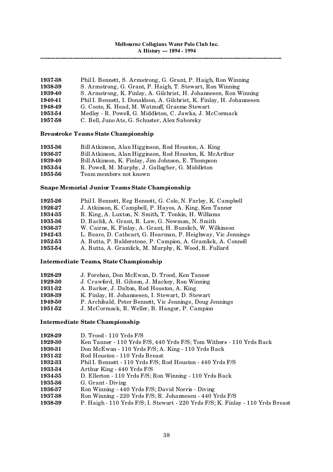| 1937-38 | Phil I. Bennett, S. Armstrong, G. Grant, P. Haigh, Ron Winning        |
|---------|-----------------------------------------------------------------------|
| 1938-39 | S. Armstrong, G. Grant, P. Haigh, T. Stewart, Ron Winning             |
| 193940  | S. Armstrong, K. Finlay, A. Gilchrist, H. Johannesen, Ron Winning     |
| 194041  | Phil I. Bennett, I. Donaldson, A. Gilchrist, K. Finlay, H. Johannesen |
| 194849  | G. Coote, K. Head, M. Watmuff, Graeme Stewart                         |
| 1953-54 | Medley - R. Powell, G. Middleton, C. Jawka, J. McCormack              |
| 195758  | C. Bell, Juno Ats, G. Schuster, Alex Saborsky                         |

# **Breastroke Teams State Championship**

| 1935-36 | Bill Atkinson, Alan Higginson, Rod Houston, A. King     |
|---------|---------------------------------------------------------|
| 1936-37 | Bill Atkinson, Alan Higginson, Rod Houston, K. McArthur |
| 193940  | Bill Atkinson, K. Finlay, Jim Johnson, E. Thompson      |
| 195354  | R. Powell, M. Murphy, J. Gallagher, G. Middleton        |
| 195556  | Team members not known                                  |
|         |                                                         |

# **Snape Memorial Junior Teams State Championship**

| 1925-26 | Phil I. Bennett, Reg Bennett, G. Cole, N. Farley, K. Campbell |
|---------|---------------------------------------------------------------|
| 1926-27 | J. Atkinson, K. Campbell, P. Hayes, A. King, Ken Tanner       |
| 1934-35 | R. King, A. Luxton, N. Smith, T. Tonkin, H. Williams          |
| 1935-36 | D. Bachli, A. Grant, R. Law, G. Newman, N. Smith              |
| 1936-37 | W. Cairne, K. Finlay, A. Grant, H. Buzolich, W. Wilkinson     |
| 194243  | L. Beare, D. Cathcart, G. Hearman, P. Heighway, Vic Jennings  |
| 1952-53 | A. Butta, P. Balderstone, P. Campion, A. Gramlick, A. Connell |
| 1953-54 | A. Butta, A. Gramlick, M. Murphy, K. Wood, R. Fullard         |
|         |                                                               |

# **Intermediate Teams, State Championship**

| 1928-29 | J. Forehan, Don McEwan, D. Trood, Ken Tanner             |
|---------|----------------------------------------------------------|
| 1929-30 | J. Crawford, H. Gibson, J. Mackey, Ron Winning           |
| 1931-32 | A. Barker, J. Dalton, Rod Houston, A. King               |
| 1938-39 | K. Finlay, H. Johannesen, I. Stewart, D. Stewart         |
| 1949-50 | P. Archibald, Peter Bennett, Vic Jennings, Doug Jennings |
| 1951-52 | J. McCormack, R. Weller, B. Hanger, P. Campion           |

# **Intermediate State Championship**

| 1928-29 | $D.$ Trood - 110 Yrds $F/S$                                                     |
|---------|---------------------------------------------------------------------------------|
| 1929-30 | Ken Tanner - 110 Yrds F/S, 440 Yrds F/S; Tom Withers - 110 Yrds Back            |
| 1930-31 | Don McEwan - 110 Yrds F/S; A. King - 110 Yrds Back                              |
| 1931-32 | Rod Houston - 110 Yrds Breast                                                   |
| 1932-33 | Phil I. Bennett - 110 Yrds F/S; Rod Houston - 440 Yrds F/S                      |
| 1933-34 | Arthur King - 440 Yrds F/S                                                      |
| 1934-35 | D. Ellerton - 110 Yrds F/S; Ron Winning - 110 Yrds Back                         |
| 1935-36 | G. Grant - Diving                                                               |
| 1936-37 | Ron Winning - 440 Yrds F/S; David Norris - Diving                               |
| 1937-38 | Ron Winning - 220 Yrds F/S; R. Johannesen - 440 Yrds F/S                        |
| 1938-39 | P. Haigh - 110 Yrds F/S; I. Stewart - 220 Yrds F/S; K. Finlay - 110 Yrds Breast |
|         |                                                                                 |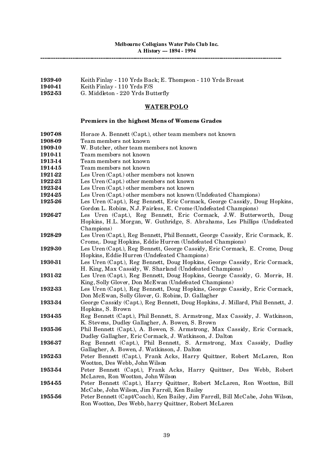- **1939-40** Keith Finlay 110 Yrds Back; E. Thompson 110 Yrds Breast
- **1940-41** Keith Finlay 110 Yrds F/S
- **1952-53** G. Middleton 220 Yrds Butterfly

# **WATERPOLO**

# **Premiers in the highest Mens of Womens Grades**

| 1907-08 | Horace A. Bennett (Capt.), other team members not known                                                                                        |
|---------|------------------------------------------------------------------------------------------------------------------------------------------------|
| 1908-09 | Team members not known                                                                                                                         |
| 1909-10 | W. Butcher, other team members not known                                                                                                       |
| 1910-11 | Team members not known                                                                                                                         |
| 1913-14 | Team members not known                                                                                                                         |
| 1914-15 | Team members not known                                                                                                                         |
| 1921-22 | Les Uren (Capt.) other members not known                                                                                                       |
| 1922-23 | Les Uren (Capt.) other members not known                                                                                                       |
| 1923-24 | Les Uren (Capt.) other members not known                                                                                                       |
| 1924-25 | Les Uren (Capt.) other members not known (Undefeated Champions)                                                                                |
| 1925-26 | Les Uren (Capt.), Reg Bennett, Eric Cormack, George Cassidy, Doug Hopkins,<br>Gordon L. Robins, N.J. Fairless, E. Crome (Undefeated Champions) |
| 1926-27 | Les Uren (Capt.), Reg Bennett, Eric Cormack, J.W. Butterworth, Doug                                                                            |
|         | Hopkins, H.L. Morgan, W. Guthridge, S. Abrahams, Les Phillips (Undefeated                                                                      |
|         | Champions)                                                                                                                                     |
| 1928-29 | Les Uren (Capt.), Reg Bennett, Phil Bennett, George Cassidy, Eric Cormack, E.                                                                  |
| 1929-30 | Crome,. Doug Hopkins, Eddie Hurren (Undefeated Champions)                                                                                      |
|         | Les Uren (Capt.), Reg Bennett, George Cassidy, Eric Cormack, E. Crome, Doug<br>Hopkins, Eddie Hurren (Undefeated Champions)                    |
| 1930-31 | Les Uren (Capt.), Reg Bennett, Doug Hopkins, George Cassidy, Eric Cormack,                                                                     |
|         | H. King, Max Cassidy, W. Sharland (Undefeated Champions)                                                                                       |
| 1931-32 | Les Uren (Capt.), Reg Bennett, Doug Hopkins, George Cassidy, G. Morris, H.                                                                     |
|         | King, Solly Glover, Don McEwan (Undefeated Champions)                                                                                          |
| 1932-33 | Les Uren (Capt.), Reg Bennett, Doug Hopkins, George Cassidy, Eric Cormack,                                                                     |
|         | Don McEwan, Solly Glover, G. Robins, D. Gallagher                                                                                              |
| 1933-34 | George Cassidy (Capt.), Reg Bennett, Doug Hopkins, J. Millard, Phil Bennett, J.                                                                |
|         | Hopkins, S. Brown                                                                                                                              |
| 1934-35 | Reg Bennett (Capt.), Phil Bennett, S. Armstrong, Max Cassidy, J. Watkinson,                                                                    |
|         | K. Stevens, Dudley Gallagher, A. Bowen, S. Brown                                                                                               |
| 1935-36 | Phil Bennett (Capt.), A. Bowen, S. Armstrong, Max Cassidy, Eric Cormack,                                                                       |
|         | Dudley Gallagher, Eric Cormack, J. Watkinson, J. Dalton                                                                                        |
| 1936-37 | Reg Bennett (Capt.), Phil Bennett, S. Armstrong, Max Cassidy, Dudley                                                                           |
|         | Gallagher, A. Bowen, J. Watkinson, J. Dalton                                                                                                   |
| 1952-53 | Peter Bennett (Capt.), Frank Acks, Harry Quittner, Robert McLaren, Ron                                                                         |
|         | Wootton, Des Webb, John Wilson                                                                                                                 |
| 1953-54 | Peter Bennett (Capt.), Frank Acks, Harry Quittner, Des Webb, Robert                                                                            |
|         | McLaren, Ron Wootton, John Wilson                                                                                                              |
| 1954-55 | Peter Bennett (Capt.), Harry Quittner, Robert McLaren, Ron Wootton, Bill                                                                       |
|         | McCabe, John Wilson, Jim Farrell, Ken Bailey                                                                                                   |
| 1955-56 | Peter Bennett (Capt/Coach), Ken Bailey, Jim Farrell, Bill McCabe, John Wilson,                                                                 |
|         | Ron Wootton, Des Webb, harry Quittner, Robert McLaren                                                                                          |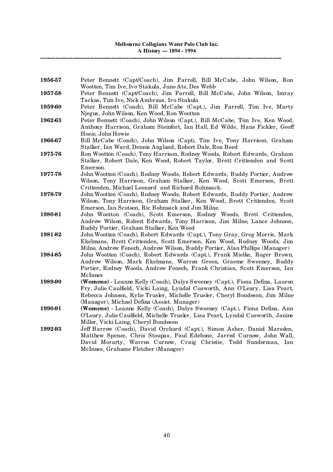| 1956-57 | Peter Bennett (Capt/Coach), Jim Farrell, Bill McCabe, John Wilson, Ron<br>Wootton, Tim Ive, Ivo Stakula, Juno Ats, Des Webb                                  |
|---------|--------------------------------------------------------------------------------------------------------------------------------------------------------------|
| 1957-58 | Peter Bennett (Capt/Coach), Jim Farrell, Bill McCabe, John Wilson, Imray                                                                                     |
|         | Tackas, Tim Ive, Nick Ambraus, Ivo Stakula                                                                                                                   |
| 1959-60 | Peter Bennett (Coach), Bill McCabe (Capt.), Jim Farrell, Tim Ive, Marty                                                                                      |
|         | Njegus, John Wilson, Ken Wood, Ron Wootton                                                                                                                   |
| 1962-63 | Peter Bennett (Coach), John Wilson (Capt.), Bill McCabe, Tim Ive, Ken Wood,                                                                                  |
|         | Anthony Harrison, Graham Steinfort, Ian Hall, Ed Wilde, Hans Fickler, Geoff                                                                                  |
|         | Hosie, John Howie                                                                                                                                            |
| 1966-67 | Bill McCabe (Coach), John Wilson (Capt), Tim Ive, Tony Harrison, Graham                                                                                      |
|         | Stalker, Ian Ward, Dennis Angland, Robert Dale, Ron Beed                                                                                                     |
| 1975-76 | Ron Wootton (Coach), Tony Harrison, Rodney Woods, Robert Edwards, Graham                                                                                     |
|         | Stalker, Robert Dale, Ken Wood, Robert Taylor, Brett Crittenden and Scott                                                                                    |
|         | Emerson.                                                                                                                                                     |
| 1977-78 | John Wootton (Coach), Rodney Woods, Robert Edwards, Buddy Portier, Andrew                                                                                    |
|         | Wilson, Tony Harrison, Graham Stalker, Ken Wood, Scott Emerson, Brett                                                                                        |
|         | Crittenden, Michael Leonard and Richard Bohnsack.                                                                                                            |
| 1978-79 | John Wootton (Coach), Rodney Woods, Robert Edwards, Buddy Portier, Andrew                                                                                    |
|         | Wilson, Tony Harrison, Graham Stalker, Ken Wood, Brett Crittenden, Scott                                                                                     |
|         | Emerson, Ian Scotson, Ric Bohnsack and Jim Milne.                                                                                                            |
| 1980-81 | John Wootton (Coach), Scott Emerson, Rodney Woods, Brett Crittenden,                                                                                         |
|         | Andrew Wilson, Robert Edwards, Tony Harrison, Jim Milne, Lance Johnson,                                                                                      |
|         | Buddy Portier, Graham Stalker, Ken Wood                                                                                                                      |
| 1981-82 | John Wootton (Coach), Robert Edwards (Capt.), Tony Gray, Greg Morris, Mark                                                                                   |
|         | Ekelmans, Brett Crittenden, Scott Emerson, Ken Wood, Rodney Woods, Jim                                                                                       |
|         | Milne, Andrew Fenech, Andrew Wilson, Buddy Portier, Alan Phillips (Manager)                                                                                  |
| 1984-85 | John Wootton (Coach), Robert Edwards (Capt.), Frank Mielke, Roger Brown,                                                                                     |
|         | Andrew Wilson, Mark Ekelmans, Warren Green, Graeme Sweeney, Buddy                                                                                            |
|         | Portier, Rodney Woods, Andrew Fenech, Frank Christian, Scott Emerson, Ian                                                                                    |
|         | McInnes                                                                                                                                                      |
| 1989-90 | (Womens) - Leanne Kelly (Coach), Dalys Sweeney (Capt.), Fiona Defina, Lauren                                                                                 |
|         | Fry, Julie Caulfield, Vicki Laing, Lyndal Cusworth, Ann O'Leary, Lisa Peart,                                                                                 |
|         | Rebecca Johnson, Kylie Trusler, Michelle Trusler, Cheryl Bondeson, Jim Milne                                                                                 |
|         | (Manager), Michael Defina (Assist. Manager)                                                                                                                  |
| 1990-91 | (Womens) - Leanne Kelly (Coach), Dalys Sweeney (Capt.), Fiona Defina, Ann<br>O'Leary, Julie Caulfield, Michelle Trusler, Lisa Peart, Lyndal Cusworth, Janine |
|         | Miller, Vicki Laing, Cheryl Bondeson                                                                                                                         |
| 1992-93 | Jeff Barrow (Coach), David Orchard (Capt.), Simon Asher, Daniel Marsden,                                                                                     |
|         | Matthew Spence, Chris Stoupas, Paul Edebone, Jarred Curnow, John Wall,                                                                                       |
|         | David Morarty, Warren Curnow, Craig Christie, Todd Sunderman, Ian                                                                                            |
|         | McInnes, Grahame Fletcher (Manager)                                                                                                                          |
|         |                                                                                                                                                              |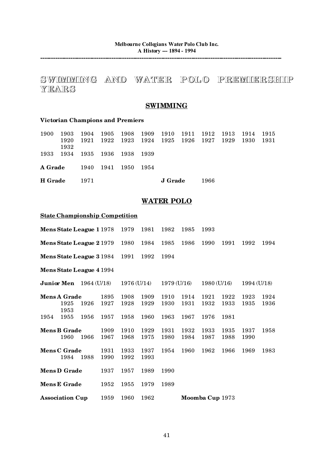**----------------------------------------------------------------------------------------------------------------**

# SWIMMING AND WATER POLO PREMIERSHIP **YEARS**

# **SWIMMING**

# **Victorian Champions and Premiers**

| <b>H</b> Grade |                                    | 1971 |  | J Grade                                                                                      | 1966 |       |       |
|----------------|------------------------------------|------|--|----------------------------------------------------------------------------------------------|------|-------|-------|
|                | <b>A Grade</b> 1940 1941 1950 1954 |      |  |                                                                                              |      |       |       |
|                | 1933 1934 1935 1936 1938 1939      |      |  |                                                                                              |      |       |       |
| 1900           | - 1903<br>1920<br>1932             |      |  | 1904 1905 1908 1909 1910 1911 1912 1913 1914 1915<br>1921 1922 1923 1924 1925 1926 1927 1929 |      | -1930 | -1931 |

# **WATER POLO**

# **<u>State Championship Competition</u>**

|                          | Mens State League 1 1978            |      |              | 1979         | 1981         | 1982         | 1985         | 1993            |              |              |              |  |
|--------------------------|-------------------------------------|------|--------------|--------------|--------------|--------------|--------------|-----------------|--------------|--------------|--------------|--|
|                          | Mens State League 2 1979            |      |              | 1980         | 1984         | 1985         | 1986         | 1990            | 1991         | 1992         | 1994         |  |
| Mens State League 3 1984 |                                     |      | 1991         | 1992         | 1994         |              |              |                 |              |              |              |  |
|                          | Mens State League 4 1994            |      |              |              |              |              |              |                 |              |              |              |  |
|                          | <b>Junior Men</b> $1964$ (U/18)     |      |              | 1976 (U/14)  |              |              | 1979 (U/16)  |                 | 1980 (U/16)  |              | 1994 (U/18)  |  |
|                          | <b>Mens A Grade</b><br>1925<br>1953 | 1926 | 1895<br>1927 | 1908<br>1928 | 1909<br>1929 | 1910<br>1930 | 1914<br>1931 | 1921<br>1932    | 1922<br>1933 | 1923<br>1935 | 1924<br>1936 |  |
| 1954                     | 1955                                | 1956 | 1957         | 1958         | 1960         | 1963         | 1967         | 1976            | 1981         |              |              |  |
|                          | <b>Mens B Grade</b><br>1960         | 1966 | 1909<br>1967 | 1910<br>1968 | 1929<br>1975 | 1931<br>1980 | 1932<br>1984 | 1933<br>1987    | 1935<br>1988 | 1937<br>1990 | 1958         |  |
|                          | <b>Mens C Grade</b><br>1984         | 1988 | 1931<br>1990 | 1933<br>1992 | 1937<br>1993 | 1954         | 1960         | 1962            | 1966         | 1969         | 1983         |  |
|                          | <b>Mens D Grade</b>                 |      | 1937         | 1957         | 1989         | 1990         |              |                 |              |              |              |  |
|                          | <b>Mens E Grade</b>                 |      | 1952         | 1955         | 1979         | 1989         |              |                 |              |              |              |  |
|                          | <b>Association Cup</b>              |      | 1959         | 1960         | 1962         |              |              | Moomba Cup 1973 |              |              |              |  |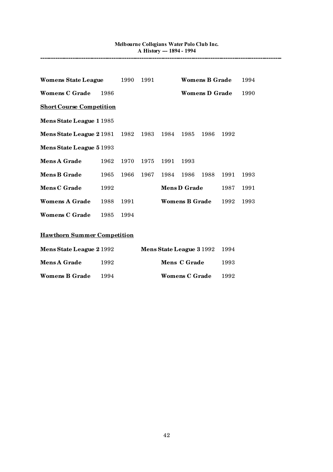| Womens State League             |                                    | 1990 | 1991 |      |                       | <b>Womens B Grade</b> |      | 1994 |  |  |  |
|---------------------------------|------------------------------------|------|------|------|-----------------------|-----------------------|------|------|--|--|--|
| <b>Womens C Grade</b>           | 1986                               |      |      |      |                       | <b>Womens D Grade</b> |      | 1990 |  |  |  |
| <b>Short Course Competition</b> |                                    |      |      |      |                       |                       |      |      |  |  |  |
| Mens State League 1 1985        |                                    |      |      |      |                       |                       |      |      |  |  |  |
| Mens State League 2 1981 1982   |                                    |      | 1983 | 1984 | 1985                  | 1986                  | 1992 |      |  |  |  |
| Mens State League 5 1993        |                                    |      |      |      |                       |                       |      |      |  |  |  |
| <b>Mens A Grade</b>             | 1962                               | 1970 | 1975 | 1991 | 1993                  |                       |      |      |  |  |  |
| <b>Mens B Grade</b>             | 1965                               | 1966 | 1967 | 1984 | 1986                  | 1988                  | 1991 | 1993 |  |  |  |
| <b>Mens C Grade</b>             | 1992                               |      |      |      | <b>Mens D Grade</b>   |                       | 1987 | 1991 |  |  |  |
| <b>Womens A Grade</b>           | 1988                               | 1991 |      |      | <b>Womens B Grade</b> |                       | 1992 | 1993 |  |  |  |
| <b>Womens C Grade</b>           | 1985                               | 1994 |      |      |                       |                       |      |      |  |  |  |
|                                 | <b>Hawthorn Summer Competition</b> |      |      |      |                       |                       |      |      |  |  |  |

| <b>Mens State League 2 1992</b> |      | Mens State League 3 1992 |      |  |  |
|---------------------------------|------|--------------------------|------|--|--|
| <b>Mens A Grade</b>             | 1992 | Mens C Grade             | 1993 |  |  |
| <b>Womens B Grade</b>           | 1994 | <b>Womens C Grade</b>    | 1992 |  |  |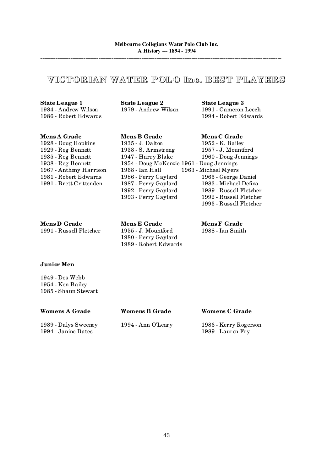# **VICTORIAN WATER POL O Inc. BEST PLAYERS**

1986 - Robert Edwards 1994 - Robert Edwards

**State League 1**<br>1984 - Andrew Wilson 1979 - Andrew Wilson 1991 - Cameron

1991 - Cameron Leech<br>1994 - Robert Edwards

**Mens D Grade Mens E Grade Mens F Grade Mens F Grade 1991** - Russell Fletcher **1955** - J. Mountford **1988** - Ian Smith 1991 - Russell Fletcher

**Mens A Grade Mens B Grade Mens C Grade** 1928 - Doug Hopkins 1935 - J. Dalton 1952 - K. Bailey 1929 - Reg Bennett 1938 - S. Armstrong 1957 - J. Mountford 1935 - Reg Bennett 1947 - Harry Blake 1960 - Doug Jennings<br>1938 - Reg Bennett 1954 - Doug McKenzie 1961 - Doug Jennings 1954 - Doug McKenzie 1961 - Doug Jennings<br>1968 - Ian Hall 1963 - Michael Myers 1967 - Anthony Harrison 1968 - Ian Hall 1963 - Michael Myers<br>1981 - Robert Edwards 1986 - Perry Gaylard 1965 - George Daniel 1981 - Robert Edwards 1986 - Perry Gaylard 1965 - George Daniel<br>1991 - Brett Crittenden 1987 - Perry Gaylard 1983 - Michael Defina 1987 - Perry Gaylard 1992 - Perry Gaylard 1989 - Russell Fletcher 1993 - Perry Gaylard 1992 - Russell Fletcher

1993 - Russell Fletcher

# **Junior Men**

1949 - Des Webb 1954 - Ken Bailey 1985 - Shaun Stewart

| Womens A Grade                              | <b>Womens B Grade</b> | <b>Womens C Grade</b>                      |
|---------------------------------------------|-----------------------|--------------------------------------------|
| 1989 - Dalys Sweeney<br>1994 - Janine Bates | 1994 - Ann O'Leary    | 1986 - Kerry Rogerson<br>1989 - Lauren Fry |

1980 - Perry Gaylard 1989 - Robert Edwards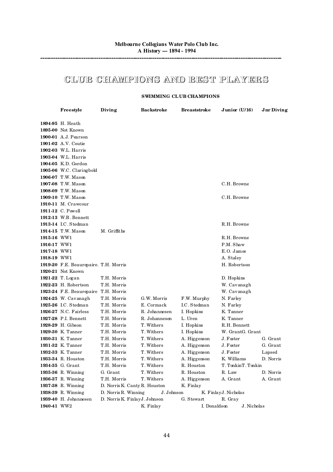# **CLUB CHAMPIONS AND BEST PLAYERS**

## **SWIMMING CL UB CHAMPIONS**

|             | Freestyle                                | Diving                                       | <b>Backstroke</b> |                          | <b>Breaststroke</b> | Junior $(U/16)$       |             | Jnr Diving |
|-------------|------------------------------------------|----------------------------------------------|-------------------|--------------------------|---------------------|-----------------------|-------------|------------|
|             | 1894-95 H. Heath                         |                                              |                   |                          |                     |                       |             |            |
|             | 1895-00 Not Known                        |                                              |                   |                          |                     |                       |             |            |
|             | 1900-01 A.J. Pearson                     |                                              |                   |                          |                     |                       |             |            |
|             | <b>1901-02</b> A.V. Coutie               |                                              |                   |                          |                     |                       |             |            |
|             | 1902-03 W.L. Harris                      |                                              |                   |                          |                     |                       |             |            |
|             | 1903-04 W.L. Harris                      |                                              |                   |                          |                     |                       |             |            |
|             | 1904-05 K.D. Gordon                      |                                              |                   |                          |                     |                       |             |            |
|             | 1905-06 W.C. Claringbold                 |                                              |                   |                          |                     |                       |             |            |
|             | 1906-07 T.W. Mason                       |                                              |                   |                          |                     |                       |             |            |
|             | 1907-08 T.W. Mason                       |                                              |                   |                          |                     | C.H. Browne           |             |            |
|             | 1908-09 T.W. Mason                       |                                              |                   |                          |                     |                       |             |            |
|             | 1909-10 T.W. Mason                       |                                              |                   |                          |                     | C.H. Browne           |             |            |
|             | <b>1910-11</b> M. Crawcour               |                                              |                   |                          |                     |                       |             |            |
|             | 1911-12 C. Powell                        |                                              |                   |                          |                     |                       |             |            |
|             | 1912-13 W.B. Bennett                     |                                              |                   |                          |                     |                       |             |            |
|             | 1913-14 I.C. Stedman                     |                                              |                   |                          |                     | R.H. Browne           |             |            |
|             | 1914-15 T.W. Mason                       | M. Griffiths                                 |                   |                          |                     |                       |             |            |
| 1915-16 WW1 |                                          |                                              |                   |                          |                     | R.H. Browne           |             |            |
| 1916-17 WW1 |                                          |                                              |                   |                          |                     | P.M. Shaw             |             |            |
| 1917-18 WW1 |                                          |                                              |                   |                          |                     | $E. O.$ James         |             |            |
| 1918-19 WW1 |                                          |                                              |                   |                          |                     | A. Staley             |             |            |
|             | 1919-20 F.E. Beaurepaire. T.H. Morris    |                                              |                   |                          |                     | H. Robertson          |             |            |
|             | 1920-21 Not Known                        |                                              |                   |                          |                     |                       |             |            |
|             | 1921-22 T. Logan                         | T.H. Morris                                  |                   |                          |                     | D. Hopkins            |             |            |
|             | 1922-23 H. Robertson                     | T.H. Morris                                  |                   |                          |                     | W. Cavanagh           |             |            |
|             | 1923-24 F.E. Beaurepaire T.H. Morris     |                                              |                   |                          |                     | W. Cavanagh           |             |            |
|             | 1924-25 W. Cavanagh                      | T.H. Morris                                  | G.W. Morris       |                          | F.W. Murphy         | N. Farley             |             |            |
|             | 1925-26 I.C. Stedman                     | T.H. Morris                                  | E. Cormack        |                          | I.C. Stedman        | N. Farley             |             |            |
|             | 1926-27 N.C. Fairless                    | T.H. Morris                                  | R. Johannesen     | I. Hopkins               |                     | K. Tanner             |             |            |
|             | 1927-28 P.I. Bennett                     | T.H. Morris                                  | R. Johannesen     | L. Uren                  |                     | K. Tanner             |             |            |
|             | 1928-29 H. Gibson                        | T.H. Morris                                  | T. Withers        | I. Hopkins               |                     | R.H. Bennett          |             |            |
|             | 1929-30 K. Tanner                        | T.H. Morris                                  | T. Withers        | I. Hopkins               |                     | W. GrantG. Grant      |             |            |
|             | 1930-31 K. Tanner                        | T.H. Morris                                  | T. Withers        |                          | A. Higgenson        | J. Foster             |             | G. Grant   |
|             | 1931-32 K. Tanner                        | T.H. Morris                                  | T. Withers        |                          | A. Higgenson        | J. Foster             |             | G. Grant   |
|             | 1932-33 K. Tanner                        | T.H. Morris                                  | T. Withers        |                          | A. Higgenson        | J. Foster             |             | Lapsed     |
|             | 1933-34 R. Houston                       | T.H. Morris                                  | T. Withers        |                          | A. Higgenson        | K. Williams           |             | D. Norris  |
|             | 1934-35 G. Grant                         | T.H. Morris<br>G. Grant                      | T. Withers        | R. Houston<br>R. Houston |                     | T. TonkinT. Tonkin    |             | D. Norris  |
|             | 1935-36 R. Winning                       |                                              | T. Withers        |                          |                     | R. Law                |             |            |
|             | 1936-37 R. Winning                       | T.H. Morris<br>D. Norris K. Canty R. Houston | T. Withers        | K. Finlay                | A. Higgenson        | A. Grant              |             | A. Grant   |
|             | 1937-38 R. Winning<br>1938-39 R. Winning | D. Norris R. Winning                         |                   | J. Johnson               |                     | K. Finlay J. Nicholas |             |            |
|             | 1939-40 H. Johannesen                    | D. Norris K. Finlay J. Johnson               |                   | G. Stewart               |                     | R. Gray               |             |            |
| 1940-41 WW2 |                                          |                                              | K. Finlay         |                          | I. Donaldson        |                       | J. Nicholas |            |
|             |                                          |                                              |                   |                          |                     |                       |             |            |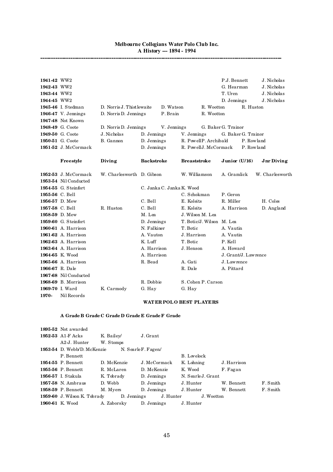**----------------------------------------------------------------------------------------------------------------**

| 1941-42 WW2     |                       |                            |                   |                           |                           |            | P.J. Bennett         |            | J. Nicholas     |
|-----------------|-----------------------|----------------------------|-------------------|---------------------------|---------------------------|------------|----------------------|------------|-----------------|
| 1942-43 WW2     |                       |                            |                   |                           |                           |            | G. Hearman           |            | J. Nicholas     |
| 1943-44 WW2     |                       |                            |                   |                           |                           |            | T. Uren              |            | J. Nicholas     |
| 1944-45 WW2     |                       |                            |                   |                           |                           |            | D. Jennings          |            | J. Nicholas     |
|                 | 1945-46 I. Stedman    | D. Norris J. Thist lewaite |                   | D. Watson                 |                           | R. Wootton |                      | R. Huston  |                 |
|                 | 1946-47 V. Jennings   | D. Norris D. Jennings      |                   | P. Brain                  |                           | R. Wootton |                      |            |                 |
|                 | 1947-48 Not Known     |                            |                   |                           |                           |            |                      |            |                 |
|                 | 1948-49 G. Coote      | D. Norris D. Jennings      |                   | V. Jennings               |                           |            | G. Baker G. Trainor  |            |                 |
|                 | 1949-50 G. Coote      | J. Nicholas                | D. Jennings       |                           | V. Jennings               |            | G. Baker G. Trainor  |            |                 |
|                 | 1950-51 G. Coote      | B. Gannon                  | D. Jennings       |                           | R. PowellP. Archibald     |            |                      | P. Rowland |                 |
|                 | 1951-52 J. McCormack  |                            | D. Jennings       |                           | R. PowellJ. McCormack     |            |                      | P. Rowland |                 |
|                 | Freestyle             | Diving                     | <b>Backstroke</b> |                           | <b>Breaststroke</b>       |            | Junior $(U/16)$      |            | Jnr Diving      |
|                 | 1952-53 J. McCormack  | W. Charlesworth D. Gibson  |                   |                           | W. Williamson             |            | A. Gramlick          |            | W. Charlesworth |
|                 | 1953-54 Nil Conducted |                            |                   |                           |                           |            |                      |            |                 |
|                 | 1954-55 G. Steinfort  |                            |                   | C. Janka C. Janka K. Wood |                           |            |                      |            |                 |
| 1955-56 C. Bell |                       |                            |                   |                           | C. Schokman               |            | P. Geron             |            |                 |
| 1956-57 D. Mew  |                       |                            | C. Bell           |                           | E. Koleits                |            | R. Miller            |            | H. Coles        |
| 1957-58 C. Bell |                       | R. Huston                  | C. Bell           |                           | E. Koleits                |            | A. Harrison          |            | D. Angland      |
| 1958-59 D. Mew  |                       |                            | M. Lea            |                           | J. Wilson M. Lea          |            |                      |            |                 |
|                 | 1959-60 G. Steinfort  |                            | D. Jennings       |                           | T. Botic/J. Wilson M. Lea |            |                      |            |                 |
|                 | 1960-61 A. Harrison   |                            | N. Falkiner       |                           | T. Botic                  |            | A. Vautin            |            |                 |
|                 | 1961-62 A. Harrison   |                            | A. Vauton         |                           | J. Harrison               |            | A. Vautin            |            |                 |
|                 | 1962-63 A. Harrison   |                            | K. Luff           |                           | T. Botic                  |            | P. Kell              |            |                 |
|                 | 1963-64 A. Harrison   |                            | A. Harrison       |                           | J. Henson                 |            | A. Howard            |            |                 |
|                 | 1964-65 K. Wood       |                            | A. Harrison       |                           |                           |            | J. Grant/J. Lawrence |            |                 |
|                 | 1965-66 A. Harrison   |                            | R. Bead           |                           | A. Gati                   |            | J. Lawrence          |            |                 |
| 1966-67 R. Dale |                       |                            |                   |                           | R. Dale                   |            | A. Pittard           |            |                 |
|                 | 1967-68 Nil Conducted |                            |                   |                           |                           |            |                      |            |                 |
|                 | 1968-69 B. Morrison   |                            | R. Dobbie         |                           | S. Cohen P. Carson        |            |                      |            |                 |
| 1969-70 I. Ward |                       | K. Carmody                 | G. Hay            |                           | G. Hay                    |            |                      |            |                 |
| 1970-           | Nil Records           |                            |                   |                           |                           |            |                      |            |                 |

#### **WAT ER POL O BEST PL AYERS**

# **A Grade B Grade C Grade D Grade E Grade F Grade**

| 1895-52 Not awarded       |             |                                                                           |                                                                   |             |            |
|---------------------------|-------------|---------------------------------------------------------------------------|-------------------------------------------------------------------|-------------|------------|
| 1952-53 A1-F Acks         | K. Bailey   | J. Grant                                                                  |                                                                   |             |            |
| A <sub>2</sub> -J. Hunter | W. Stomps   |                                                                           |                                                                   |             |            |
|                           |             |                                                                           |                                                                   |             |            |
| P. Bennett                |             |                                                                           | B. Lovelock                                                       |             |            |
| 1954-55 P. Bennett        | D. McKenzie |                                                                           | K. Lohning                                                        | J. Harrison |            |
| 1955-56 P. Bennett        |             | D. McKenzie                                                               | K. Wood                                                           | F. Fagan    |            |
| 1956-57 I. Stakula        | K. Tobrady  | D. Jennings                                                               | N. Searle J. Grant                                                |             |            |
| 1957-58 N. Ambraus        | D. Webb     | D. Jennings                                                               | J. Hunter                                                         | W. Bennett  | F. Smith   |
| <b>1958-59</b> P. Bennett | M. Myers    | D. Jennings                                                               | J. Hunter                                                         | W. Bennett  | F. Smith   |
|                           |             |                                                                           |                                                                   |             |            |
| 1960-61 K. Wood           | A. Zaborsky |                                                                           | J. Hunter                                                         |             |            |
|                           |             | 1953-54 D. Webb/D. McKenzie<br>R. McLaren<br>1959-60 J. Wilson K. Tobrady | N. Searle F. Fagen/<br>J. McCormack<br>D. Jennings<br>D. Jennings | J. Hunter   | J. Wootton |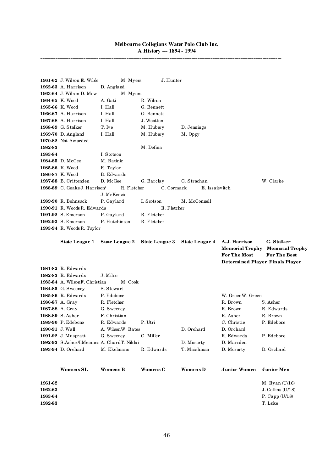|                 | 1961-62 J. Wilson E. Wilde                  | M. Myers          | J. Hunter       |                |                        |                                 |
|-----------------|---------------------------------------------|-------------------|-----------------|----------------|------------------------|---------------------------------|
|                 | 1962-63 A. Harrison                         | D. Angland        |                 |                |                        |                                 |
|                 | 1963-64 J. Wilson D. Mew                    | M. Myers          |                 |                |                        |                                 |
|                 | 1964-65 K. Wood                             | A. Gati           | R. Wilson       |                |                        |                                 |
|                 | 1965-66 K. Wood                             | I. Hall           | G. Bennett      |                |                        |                                 |
|                 | 1966-67 A. Harrison                         | I. Hall           | G. Bennett      |                |                        |                                 |
|                 | 1967-68 A. Harrison                         | I. Hall           | J. Wootton      |                |                        |                                 |
|                 | 1968-69 G. Stalker                          | T. Ive            | M. Hubery       | D. Jennings    |                        |                                 |
|                 | 1969-70 D. Angland                          | I. Hall           | M. Hubery       | M. Oppy        |                        |                                 |
|                 | 1970-82 Not Awarded                         |                   |                 |                |                        |                                 |
| 1982-83         |                                             |                   | M. Defina       |                |                        |                                 |
| 1983-84         |                                             | I. Scotson        |                 |                |                        |                                 |
|                 | 1984-85 D. McGee                            | M. Batinic        |                 |                |                        |                                 |
|                 | 1985-86 K. Wood                             | R. Taylor         |                 |                |                        |                                 |
|                 | 1986-87 K. Wood                             | B. Edwards        |                 |                |                        |                                 |
|                 | 1987-88 B. Crittenden                       | D. McGee          | G. Barclay      | G. Strachan    |                        | W. Clarke                       |
|                 | 1988-89 C. Geake J. Harrison                | R. Fletcher       | C. Cormack      | E. Issaievitch |                        |                                 |
|                 |                                             | J. McKenzie       |                 |                |                        |                                 |
|                 | 1989-90 R. Bohnsack                         | P. Gaylard        | I. Scotson      | M. McConnell   |                        |                                 |
|                 | 1990-91 R. Woods R. Edwards                 |                   | R. Fletcher     |                |                        |                                 |
|                 | 1991-92 S. Emerson                          | P. Gaylard        | R. Fletcher     |                |                        |                                 |
|                 | 1992-93 S. Emerson                          | P. Hutchinson     | R. Fletcher     |                |                        |                                 |
|                 | 1993-94 R. Woods R. Taylor                  |                   |                 |                |                        |                                 |
|                 |                                             |                   |                 |                |                        |                                 |
|                 | <b>State League 1</b>                       | State League 2    | State League 3  | State League 4 | A.J. Harrison          | G. Stalker                      |
|                 |                                             |                   |                 |                |                        |                                 |
|                 |                                             |                   |                 |                | <b>Memorial Trophy</b> | <b>Memorial Trophy</b>          |
|                 |                                             |                   |                 |                | <b>For The Most</b>    | <b>For The Best</b>             |
|                 |                                             |                   |                 |                |                        | Determined Player Finals Player |
|                 | 1981-82 R. Edwards                          |                   |                 |                |                        |                                 |
|                 | 1982-83 R. Edwards                          | $J.$ Milne        |                 |                |                        |                                 |
|                 | 1983-84 A. WilsonF. Christian               | M. Cook           |                 |                |                        |                                 |
|                 | <b>1984-85</b> G. Sweeney                   | S. Stewart        |                 |                |                        |                                 |
|                 | 1985-86 R. Edwards                          | P. Edebone        |                 |                | W. GreenW. Green       |                                 |
|                 | 1986-87 A. Gray                             | R. Fletcher       |                 |                | R. Brown               | S. Asher                        |
|                 | 1987-88 A. Gray                             | G. Sweeney        |                 |                | R. Brown               | R. Edwards                      |
|                 | 1988-89 S. Asher                            | F. Christian      |                 |                | R. Asher               | R. Brown                        |
|                 | 1989-90 P. Edebone                          | R. Edwards        | P. Utri         |                | C. Christie            | P. Edebone                      |
| 1990-91 J. Wall |                                             | A. WilsonW. Bates |                 | D. Orchard     | D. Orchard             |                                 |
|                 | 1991-92 J. Muspratt                         | G. Sweeney        | C. Miller       |                | R. Edwards             | P. Edebone                      |
|                 | 1992-93 S.Asher/I.Mcinnes A. ChardT. Niklai |                   |                 | D. Morarty     | D. Marsden             |                                 |
|                 | 1993-94 D. Orchard                          | M. Ekelmans       | R. Edwards      | T. Maishman    | D. Morarty             | D. Orchard                      |
|                 |                                             |                   |                 |                |                        |                                 |
|                 |                                             | <b>Womens B</b>   | <b>Womens C</b> | Womens D       | <b>Junior Women</b>    | Junior Men                      |
|                 | <b>Womens SL</b>                            |                   |                 |                |                        |                                 |
| 1961-62         |                                             |                   |                 |                |                        | M. Ryan (U/16)                  |
| 1962-63         |                                             |                   |                 |                |                        | J. Collins (U/18)               |
| 1963-64         |                                             |                   |                 |                |                        | $P$ . Capp $(U/18)$             |
| 1982-83         |                                             |                   |                 |                |                        | T. Luke                         |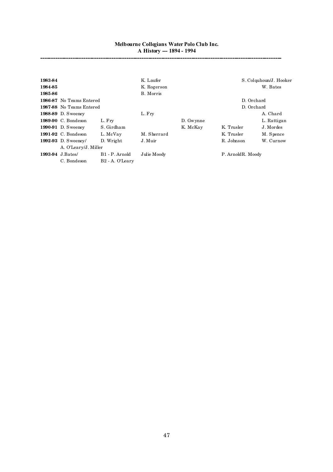| 1983-84 |                           |                             | K. Laufer   |           |                    | S. Colquhoun/J. Hooker |
|---------|---------------------------|-----------------------------|-------------|-----------|--------------------|------------------------|
| 1984-85 |                           |                             | K. Rogerson |           |                    | W. Bates               |
| 1985-86 |                           |                             | B. Morris   |           |                    |                        |
|         | 1986-87 No Teams Entered  |                             |             |           | D. Orchard         |                        |
|         | 1987-88 No Teams Entered  |                             |             |           | D. Orchard         |                        |
|         | <b>1988-89</b> D. Sweeney |                             | L. Fry      |           |                    | A. Chard               |
|         | 1989-90 C. Bondeson       | L. Fry                      |             | D. Gwynne |                    | L. Rattigan            |
|         | <b>1990-91</b> D. Sweeney | S. Girdham                  |             | K. McKay  | K. Trusler         | J. Mordes              |
|         | 1991-92 C. Bondeson       | L. McVay                    | M. Sherrard |           | K. Trusler         | M. Spence              |
|         | 1992-93 D. Sweeney/       | D. Wright                   | J. Muir     |           | R. Johnson         | W. Curnow              |
|         | A. O'Leary/J. Miller      |                             |             |           |                    |                        |
|         | 1993-94 J.Bates/          | B1 - P. Arnold              | Julie Moody |           | P. Arnold R. Moody |                        |
|         | C. Bondeson               | B <sub>2</sub> - A. O'Learv |             |           |                    |                        |